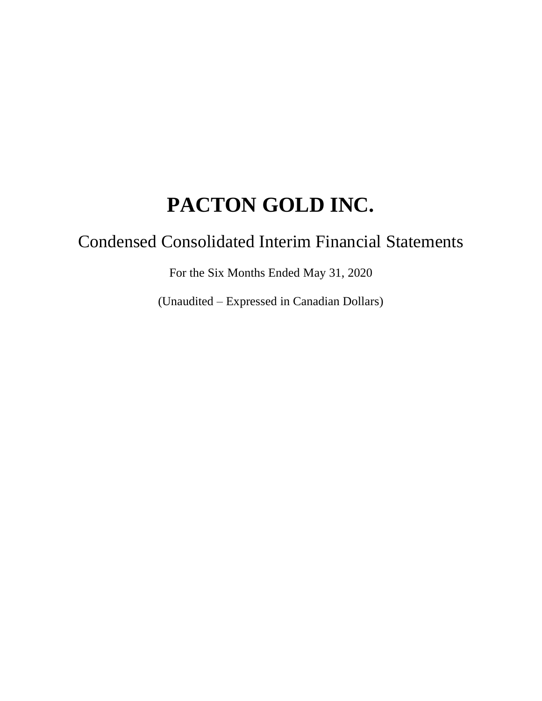# Condensed Consolidated Interim Financial Statements

For the Six Months Ended May 31, 2020

(Unaudited – Expressed in Canadian Dollars)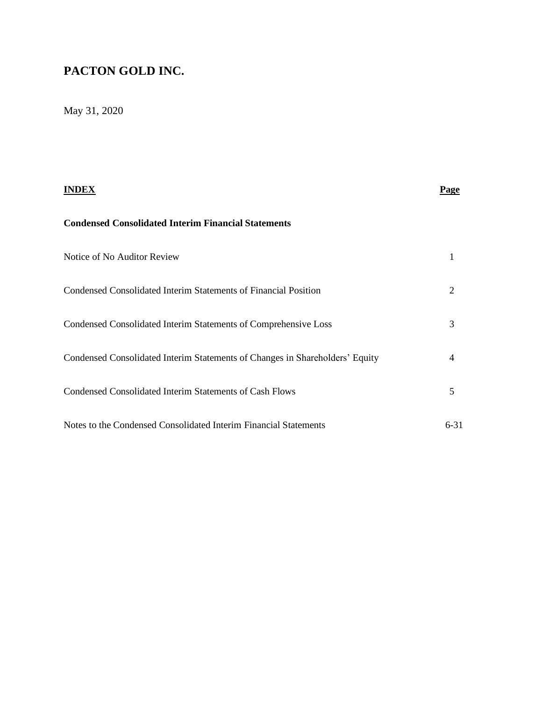# May 31, 2020

| INDEX                                                                        | <b>Page</b> |
|------------------------------------------------------------------------------|-------------|
| <b>Condensed Consolidated Interim Financial Statements</b>                   |             |
| Notice of No Auditor Review                                                  |             |
| Condensed Consolidated Interim Statements of Financial Position              | 2           |
| Condensed Consolidated Interim Statements of Comprehensive Loss              | 3           |
| Condensed Consolidated Interim Statements of Changes in Shareholders' Equity | 4           |
| Condensed Consolidated Interim Statements of Cash Flows                      | 5           |
| Notes to the Condensed Consolidated Interim Financial Statements             | $6 - 31$    |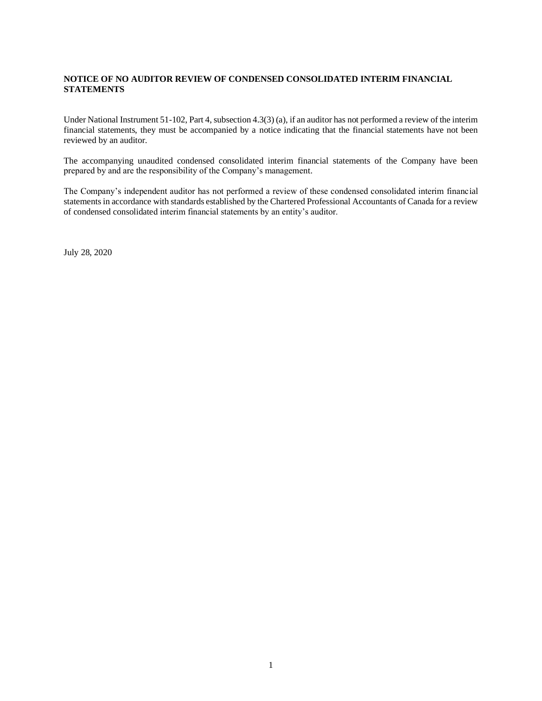#### **NOTICE OF NO AUDITOR REVIEW OF CONDENSED CONSOLIDATED INTERIM FINANCIAL STATEMENTS**

Under National Instrument 51-102, Part 4, subsection 4.3(3) (a), if an auditor has not performed a review of the interim financial statements, they must be accompanied by a notice indicating that the financial statements have not been reviewed by an auditor.

The accompanying unaudited condensed consolidated interim financial statements of the Company have been prepared by and are the responsibility of the Company's management.

The Company's independent auditor has not performed a review of these condensed consolidated interim financial statements in accordance with standards established by the Chartered Professional Accountants of Canada for a review of condensed consolidated interim financial statements by an entity's auditor.

July 28, 2020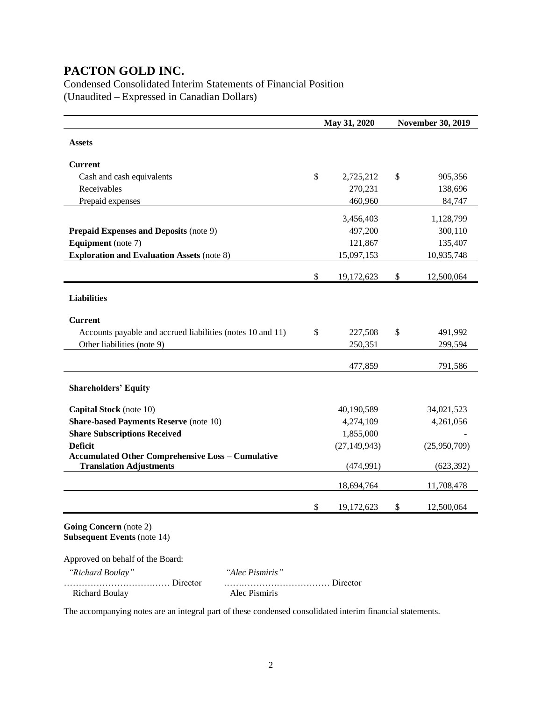Condensed Consolidated Interim Statements of Financial Position (Unaudited – Expressed in Canadian Dollars)

|                                                                                            | May 31, 2020     |    | <b>November 30, 2019</b> |
|--------------------------------------------------------------------------------------------|------------------|----|--------------------------|
| <b>Assets</b>                                                                              |                  |    |                          |
|                                                                                            |                  |    |                          |
| <b>Current</b>                                                                             |                  |    |                          |
| Cash and cash equivalents                                                                  | \$<br>2,725,212  | \$ | 905,356                  |
| Receivables                                                                                | 270,231          |    | 138,696                  |
| Prepaid expenses                                                                           | 460,960          |    | 84,747                   |
|                                                                                            | 3,456,403        |    | 1,128,799                |
| <b>Prepaid Expenses and Deposits (note 9)</b>                                              | 497,200          |    | 300,110                  |
| <b>Equipment</b> (note 7)                                                                  | 121,867          |    | 135,407                  |
| <b>Exploration and Evaluation Assets (note 8)</b>                                          | 15,097,153       |    | 10,935,748               |
|                                                                                            | \$<br>19,172,623 | \$ | 12,500,064               |
|                                                                                            |                  |    |                          |
| <b>Liabilities</b>                                                                         |                  |    |                          |
| <b>Current</b>                                                                             |                  |    |                          |
| Accounts payable and accrued liabilities (notes 10 and 11)                                 | \$<br>227,508    | \$ | 491,992                  |
| Other liabilities (note 9)                                                                 | 250,351          |    | 299,594                  |
|                                                                                            |                  |    |                          |
|                                                                                            | 477,859          |    | 791,586                  |
| <b>Shareholders' Equity</b>                                                                |                  |    |                          |
| Capital Stock (note 10)                                                                    | 40,190,589       |    | 34,021,523               |
| <b>Share-based Payments Reserve (note 10)</b>                                              | 4,274,109        |    | 4,261,056                |
| <b>Share Subscriptions Received</b>                                                        | 1,855,000        |    |                          |
| <b>Deficit</b>                                                                             | (27, 149, 943)   |    | (25,950,709)             |
| <b>Accumulated Other Comprehensive Loss - Cumulative</b><br><b>Translation Adjustments</b> | (474, 991)       |    | (623, 392)               |
|                                                                                            | 18,694,764       |    | 11,708,478               |
|                                                                                            |                  |    |                          |
|                                                                                            | \$<br>19,172,623 | \$ | 12,500,064               |
| Going Concern (note 2)<br><b>Subsequent Events (note 14)</b>                               |                  |    |                          |
| Approved on behalf of the Board:                                                           |                  |    |                          |
|                                                                                            |                  |    |                          |

| "Richard Boulay"      | "Alec Pismiris" |
|-----------------------|-----------------|
|                       |                 |
| <b>Richard Boulay</b> | Alec Pismiris   |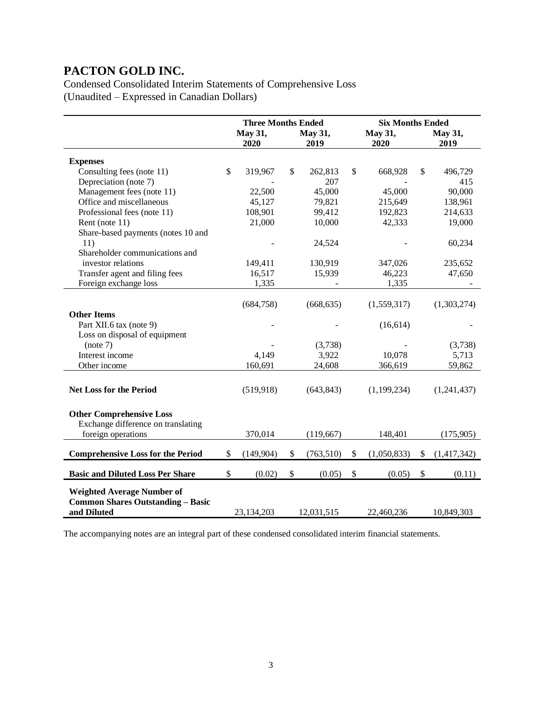Condensed Consolidated Interim Statements of Comprehensive Loss (Unaudited – Expressed in Canadian Dollars)

|                                          | <b>Three Months Ended</b> |            |         |            |    | <b>Six Months Ended</b> |    |             |  |
|------------------------------------------|---------------------------|------------|---------|------------|----|-------------------------|----|-------------|--|
|                                          |                           | May 31,    | May 31, |            |    | May 31,                 |    | May 31,     |  |
|                                          |                           | 2020       |         | 2019       |    | 2020                    |    | 2019        |  |
| <b>Expenses</b>                          |                           |            |         |            |    |                         |    |             |  |
| Consulting fees (note 11)                | \$                        | 319,967    | \$      | 262,813    | \$ | 668,928                 | \$ | 496,729     |  |
| Depreciation (note 7)                    |                           |            |         | 207        |    |                         |    | 415         |  |
| Management fees (note 11)                |                           | 22,500     |         | 45,000     |    | 45,000                  |    | 90,000      |  |
| Office and miscellaneous                 |                           | 45,127     |         | 79,821     |    | 215,649                 |    | 138,961     |  |
| Professional fees (note 11)              |                           | 108,901    |         | 99,412     |    | 192,823                 |    | 214,633     |  |
| Rent (note 11)                           |                           | 21,000     |         | 10,000     |    | 42,333                  |    | 19,000      |  |
| Share-based payments (notes 10 and       |                           |            |         |            |    |                         |    |             |  |
| 11)                                      |                           |            |         | 24,524     |    |                         |    | 60,234      |  |
| Shareholder communications and           |                           |            |         |            |    |                         |    |             |  |
| investor relations                       |                           | 149,411    |         | 130,919    |    | 347,026                 |    | 235,652     |  |
| Transfer agent and filing fees           |                           | 16,517     |         | 15,939     |    | 46,223                  |    | 47,650      |  |
| Foreign exchange loss                    |                           | 1,335      |         |            |    | 1,335                   |    |             |  |
|                                          |                           |            |         |            |    |                         |    |             |  |
|                                          |                           | (684, 758) |         | (668, 635) |    | (1,559,317)             |    | (1,303,274) |  |
| <b>Other Items</b>                       |                           |            |         |            |    |                         |    |             |  |
| Part XII.6 tax (note 9)                  |                           |            |         |            |    | (16, 614)               |    |             |  |
| Loss on disposal of equipment            |                           |            |         |            |    |                         |    |             |  |
| (note 7)                                 |                           |            |         | (3,738)    |    |                         |    | (3,738)     |  |
| Interest income                          |                           | 4,149      |         | 3,922      |    | 10,078                  |    | 5,713       |  |
| Other income                             |                           | 160,691    |         | 24,608     |    | 366,619                 |    | 59,862      |  |
|                                          |                           |            |         |            |    |                         |    |             |  |
| <b>Net Loss for the Period</b>           |                           | (519, 918) |         | (643, 843) |    | (1,199,234)             |    | (1,241,437) |  |
|                                          |                           |            |         |            |    |                         |    |             |  |
|                                          |                           |            |         |            |    |                         |    |             |  |
| <b>Other Comprehensive Loss</b>          |                           |            |         |            |    |                         |    |             |  |
| Exchange difference on translating       |                           |            |         |            |    |                         |    |             |  |
| foreign operations                       |                           | 370,014    |         | (119, 667) |    | 148,401                 |    | (175,905)   |  |
| <b>Comprehensive Loss for the Period</b> | \$                        | (149,904)  | \$      | (763, 510) | \$ | (1,050,833)             | \$ | (1,417,342) |  |
|                                          |                           |            |         |            |    |                         |    |             |  |
| <b>Basic and Diluted Loss Per Share</b>  | \$                        | (0.02)     | \$      | (0.05)     | \$ | (0.05)                  | \$ | (0.11)      |  |
| <b>Weighted Average Number of</b>        |                           |            |         |            |    |                         |    |             |  |
| <b>Common Shares Outstanding - Basic</b> |                           |            |         |            |    |                         |    |             |  |
| and Diluted                              |                           | 23,134,203 |         | 12,031,515 |    | 22,460,236              |    | 10,849,303  |  |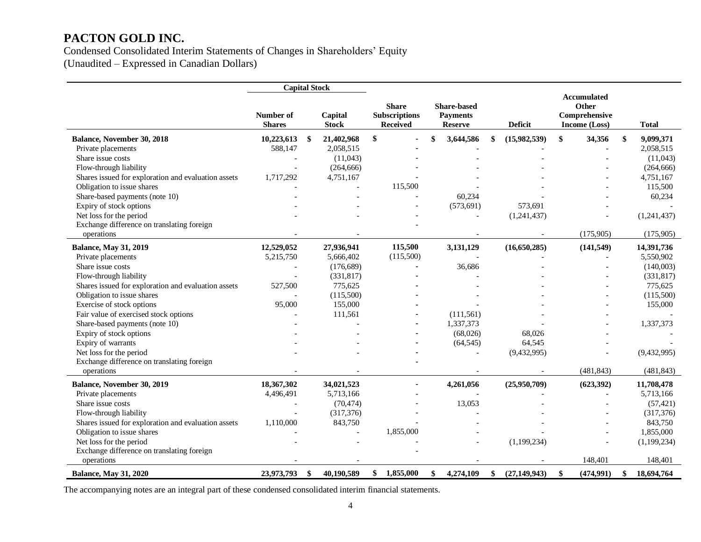Condensed Consolidated Interim Statements of Changes in Shareholders' Equity (Unaudited – Expressed in Canadian Dollars)

**Capital Stock Number of Shares Capital Stock Share Subscriptions Received Share-based Payments Reserve Deficit Accumulated Other Comprehensive Income (Loss) Total Balance, November 30, 2018 10,223,613 \$ 21,402,968 \$ - \$ 3,644,586 \$ (15,982,539) \$ 34,356 \$ 9,099,371** Private placements **588,147** 2,058,515 **-** - - - - - - - - 2,058,515 - - - - - 2,058,515 Share issue costs  $(11,043)$   $(11,043)$  Flow-through liability - (264,666) - - - - (264,666) Shares issued for exploration and evaluation assets  $1,717,292$   $4,751,167$  -  $-$  -  $-$  4,751,167 Obligation to issue shares 115,500 - 115,500 - 115,500 - 115,500 - 115,500 Share-based payments (note 10)  $\qquad \qquad \qquad \qquad \qquad \qquad 60,234$   $\qquad \qquad \qquad \qquad 60,234$ Expiry of stock options 573,691 573,691 - (573,691) 573,691 Net loss for the period 1.241,437 (1,241,437) (1,241,437) Exchange difference on translating foreign operations -  $(175,905)$   $(175,905)$ **Balance, May 31, 2019 12,529,052 27,936,941 115,500 3,131,129 (16,650,285) (141,549) 14,391,736** Private placements **5,215,750** 5,666,402 (115,500) - - - - - - - - - - - - - - 5,550,902 Share issue costs **a** and the costs **a** and the costs **a**  $(176,689)$  **-** 36,686 **-**  $(140,003)$  Flow-through liability - (331,817) **-** - - - (331,817) Shares issued for exploration and evaluation assets 527,500 775,625 **-** - - - - - - - 775,625 775,625 Obligation to issue shares **a a**  $(115,500)$  **defined a**  $(115,500)$  **defined a**  $(115,500)$  **c**  $(115,500)$  **defined a**  $(115,500)$ Exercise of stock options **95,000** 155,000 **-** - - - - - - - 155,000 - 155,000 Fair value of exercised stock options **a a a exercised** stock options **a a exercised** stock options **a a exercised** stock options **a a exercised** stock options **a exercised** stock options **a exercise** Share-based payments (note 10) **-** -  $\qquad \qquad$  -  $\qquad \qquad$  1,337,373 -  $\qquad \qquad$  1,337,373 Expiry of stock options - - **-** (68,026) 68,026 - - Expiry of warrants - - **-** (64,545) 64,545 - - Net loss for the period **-** - **-** - (9,432,995) - (9,432,995) - (9,432,995) Exchange difference on translating foreign operations **-**  $(481,843)$   $(481,843)$ **Balance, November 30, 2019 18,367,302 34,021,523 - 4,261,056 (25,950,709) (623,392) 11,708,478** Private placements **1,496,491** 5,713,166 - - - - - - - - - - - - - - 5,713,166 Share issue costs **Share issue costs** (70,474) - 13,053 - 13,053 - (57,421) Flow-through liability (317,376) (317,376) (317,376) Shares issued for exploration and evaluation assets  $1,110,000$   $843,750$  -  $-$  -  $843,750$ Obligation to issue shares 1,855,000 - 1,855,000 - 1,855,000 - 1,855,000 - 1,855,000 Net loss for the period 1,199,234) (1,199,234) (1,199,234) (1,199,234) Exchange difference on translating foreign operations - 148,401 148,401 **Balance, May 31, 2020 23,973,793 \$ 40,190,589 \$ 1,855,000 \$ 4,274,109 \$ (27,149,943) \$ (474,991) \$ 18,694,764**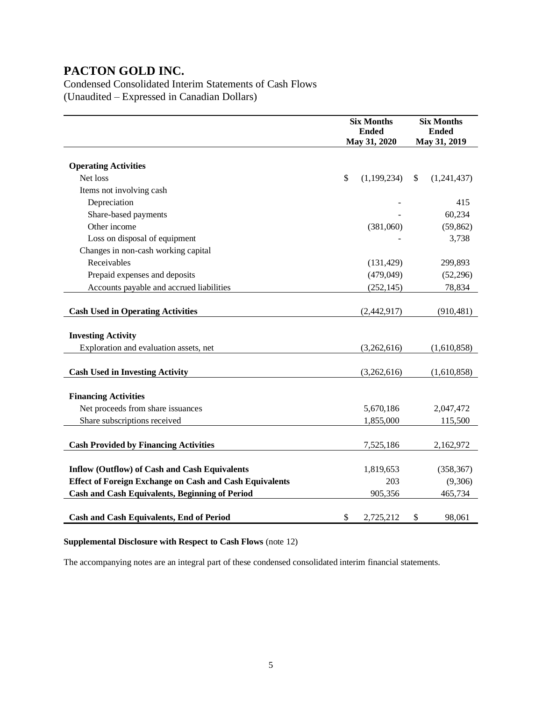Condensed Consolidated Interim Statements of Cash Flows (Unaudited – Expressed in Canadian Dollars)

|                                                                | <b>Six Months</b><br><b>Ended</b><br>May 31, 2020 | <b>Six Months</b><br><b>Ended</b><br>May 31, 2019 |             |  |  |
|----------------------------------------------------------------|---------------------------------------------------|---------------------------------------------------|-------------|--|--|
| <b>Operating Activities</b>                                    |                                                   |                                                   |             |  |  |
| Net loss                                                       | \$<br>(1,199,234)                                 | \$                                                | (1,241,437) |  |  |
| Items not involving cash                                       |                                                   |                                                   |             |  |  |
| Depreciation                                                   |                                                   |                                                   | 415         |  |  |
| Share-based payments                                           |                                                   |                                                   | 60,234      |  |  |
| Other income                                                   | (381,060)                                         |                                                   | (59, 862)   |  |  |
| Loss on disposal of equipment                                  |                                                   |                                                   | 3,738       |  |  |
| Changes in non-cash working capital                            |                                                   |                                                   |             |  |  |
| Receivables                                                    | (131, 429)                                        |                                                   | 299,893     |  |  |
| Prepaid expenses and deposits                                  | (479, 049)                                        |                                                   | (52, 296)   |  |  |
| Accounts payable and accrued liabilities                       | (252, 145)                                        |                                                   | 78,834      |  |  |
| <b>Cash Used in Operating Activities</b>                       | (2,442,917)                                       |                                                   | (910, 481)  |  |  |
| <b>Investing Activity</b>                                      |                                                   |                                                   |             |  |  |
| Exploration and evaluation assets, net                         | (3,262,616)                                       |                                                   | (1,610,858) |  |  |
| <b>Cash Used in Investing Activity</b>                         | (3,262,616)                                       |                                                   | (1,610,858) |  |  |
| <b>Financing Activities</b>                                    |                                                   |                                                   |             |  |  |
| Net proceeds from share issuances                              | 5,670,186                                         |                                                   | 2,047,472   |  |  |
| Share subscriptions received                                   | 1,855,000                                         |                                                   | 115,500     |  |  |
| <b>Cash Provided by Financing Activities</b>                   | 7,525,186                                         |                                                   |             |  |  |
|                                                                |                                                   |                                                   | 2,162,972   |  |  |
| <b>Inflow (Outflow) of Cash and Cash Equivalents</b>           | 1,819,653                                         |                                                   | (358, 367)  |  |  |
| <b>Effect of Foreign Exchange on Cash and Cash Equivalents</b> | 203                                               |                                                   | (9,306)     |  |  |
| <b>Cash and Cash Equivalents, Beginning of Period</b>          | 905,356                                           |                                                   | 465,734     |  |  |
| <b>Cash and Cash Equivalents, End of Period</b>                | \$<br>2,725,212                                   | \$                                                | 98,061      |  |  |

### **Supplemental Disclosure with Respect to Cash Flows** (note 12)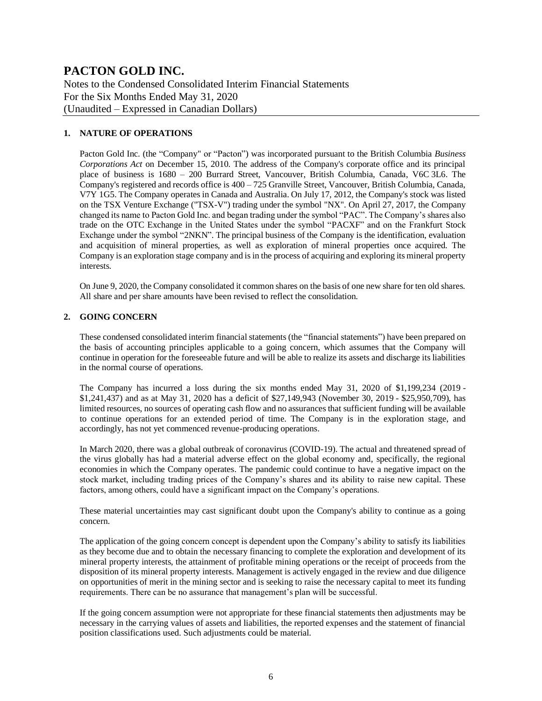Notes to the Condensed Consolidated Interim Financial Statements For the Six Months Ended May 31, 2020 (Unaudited – Expressed in Canadian Dollars)

#### **1. NATURE OF OPERATIONS**

Pacton Gold Inc. (the "Company" or "Pacton") was incorporated pursuant to the British Columbia *Business Corporations Act* on December 15, 2010. The address of the Company's corporate office and its principal place of business is 1680 – 200 Burrard Street, Vancouver, British Columbia, Canada, V6C 3L6. The Company's registered and records office is  $400 - 725$  Granville Street, Vancouver, British Columbia, Canada, V7Y 1G5. The Company operates in Canada and Australia. On July 17, 2012, the Company's stock was listed on the TSX Venture Exchange ("TSX-V") trading under the symbol "NX". On April 27, 2017, the Company changed its name to Pacton Gold Inc. and began trading under the symbol "PAC". The Company's shares also trade on the OTC Exchange in the United States under the symbol "PACXF" and on the Frankfurt Stock Exchange under the symbol "2NKN". The principal business of the Company is the identification, evaluation and acquisition of mineral properties, as well as exploration of mineral properties once acquired. The Company is an exploration stage company and is in the process of acquiring and exploring its mineral property interests.

On June 9, 2020, the Company consolidated it common shares on the basis of one new share for ten old shares. All share and per share amounts have been revised to reflect the consolidation.

#### **2. GOING CONCERN**

These condensed consolidated interim financial statements (the "financial statements") have been prepared on the basis of accounting principles applicable to a going concern, which assumes that the Company will continue in operation for the foreseeable future and will be able to realize its assets and discharge its liabilities in the normal course of operations.

The Company has incurred a loss during the six months ended May 31, 2020 of \$1,199,234 (2019 - \$1,241,437) and as at May 31, 2020 has a deficit of \$27,149,943 (November 30, 2019 - \$25,950,709), has limited resources, no sources of operating cash flow and no assurances that sufficient funding will be available to continue operations for an extended period of time. The Company is in the exploration stage, and accordingly, has not yet commenced revenue-producing operations.

In March 2020, there was a global outbreak of coronavirus (COVID-19). The actual and threatened spread of the virus globally has had a material adverse effect on the global economy and, specifically, the regional economies in which the Company operates. The pandemic could continue to have a negative impact on the stock market, including trading prices of the Company's shares and its ability to raise new capital. These factors, among others, could have a significant impact on the Company's operations.

These material uncertainties may cast significant doubt upon the Company's ability to continue as a going concern.

The application of the going concern concept is dependent upon the Company's ability to satisfy its liabilities as they become due and to obtain the necessary financing to complete the exploration and development of its mineral property interests, the attainment of profitable mining operations or the receipt of proceeds from the disposition of its mineral property interests. Management is actively engaged in the review and due diligence on opportunities of merit in the mining sector and is seeking to raise the necessary capital to meet its funding requirements. There can be no assurance that management's plan will be successful.

If the going concern assumption were not appropriate for these financial statements then adjustments may be necessary in the carrying values of assets and liabilities, the reported expenses and the statement of financial position classifications used. Such adjustments could be material.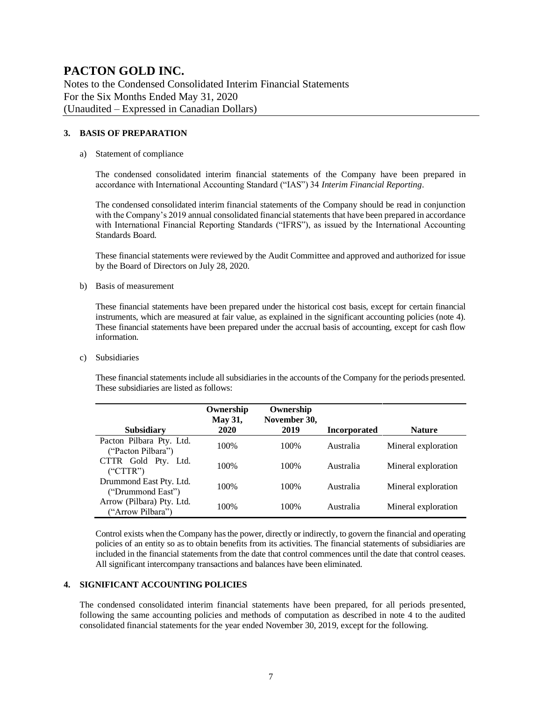Notes to the Condensed Consolidated Interim Financial Statements For the Six Months Ended May 31, 2020 (Unaudited – Expressed in Canadian Dollars)

#### **3. BASIS OF PREPARATION**

#### a) Statement of compliance

The condensed consolidated interim financial statements of the Company have been prepared in accordance with International Accounting Standard ("IAS") 34 *Interim Financial Reporting*.

The condensed consolidated interim financial statements of the Company should be read in conjunction with the Company's 2019 annual consolidated financial statements that have been prepared in accordance with International Financial Reporting Standards ("IFRS"), as issued by the International Accounting Standards Board.

These financial statements were reviewed by the Audit Committee and approved and authorized for issue by the Board of Directors on July 28, 2020.

b) Basis of measurement

These financial statements have been prepared under the historical cost basis, except for certain financial instruments, which are measured at fair value, as explained in the significant accounting policies (note 4). These financial statements have been prepared under the accrual basis of accounting, except for cash flow information.

c) Subsidiaries

These financial statements include all subsidiaries in the accounts of the Company for the periods presented. These subsidiaries are listed as follows:

| <b>Subsidiary</b>                              | Ownership<br><b>May 31,</b><br>2020 | Ownership<br>November 30,<br>2019 | <b>Incorporated</b> | <b>Nature</b>       |
|------------------------------------------------|-------------------------------------|-----------------------------------|---------------------|---------------------|
| Pacton Pilbara Pty. Ltd.<br>("Pacton Pilbara") | 100%                                | 100\%                             | Australia           | Mineral exploration |
| CTTR Gold Pty. Ltd.<br>("CTTR")                | 100\%                               | 100\%                             | Australia           | Mineral exploration |
| Drummond East Pty. Ltd.<br>("Drummond East")   | 100%                                | 100\%                             | Australia           | Mineral exploration |
| Arrow (Pilbara) Pty. Ltd.<br>("Arrow Pilbara") | 100\%                               | 100\%                             | Australia           | Mineral exploration |

Control exists when the Company has the power, directly or indirectly, to govern the financial and operating policies of an entity so as to obtain benefits from its activities. The financial statements of subsidiaries are included in the financial statements from the date that control commences until the date that control ceases. All significant intercompany transactions and balances have been eliminated.

#### **4. SIGNIFICANT ACCOUNTING POLICIES**

The condensed consolidated interim financial statements have been prepared, for all periods presented, following the same accounting policies and methods of computation as described in note 4 to the audited consolidated financial statements for the year ended November 30, 2019, except for the following.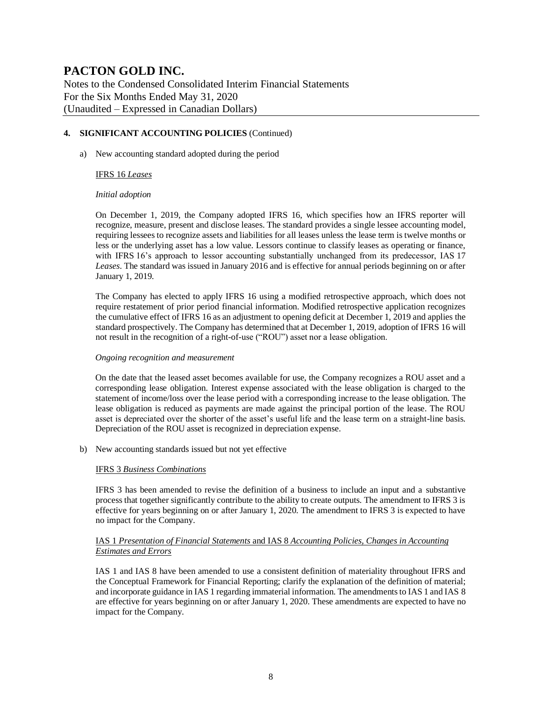Notes to the Condensed Consolidated Interim Financial Statements For the Six Months Ended May 31, 2020 (Unaudited – Expressed in Canadian Dollars)

#### **4. SIGNIFICANT ACCOUNTING POLICIES** (Continued)

a) New accounting standard adopted during the period

#### IFRS 16 *Leases*

#### *Initial adoption*

On December 1, 2019, the Company adopted IFRS 16, which specifies how an IFRS reporter will recognize, measure, present and disclose leases. The standard provides a single lessee accounting model, requiring lessees to recognize assets and liabilities for all leases unless the lease term is twelve months or less or the underlying asset has a low value. Lessors continue to classify leases as operating or finance, with IFRS 16's approach to lessor accounting substantially unchanged from its predecessor, IAS 17 *Leases*. The standard was issued in January 2016 and is effective for annual periods beginning on or after January 1, 2019.

The Company has elected to apply IFRS 16 using a modified retrospective approach, which does not require restatement of prior period financial information. Modified retrospective application recognizes the cumulative effect of IFRS 16 as an adjustment to opening deficit at December 1, 2019 and applies the standard prospectively. The Company has determined that at December 1, 2019, adoption of IFRS 16 will not result in the recognition of a right-of-use ("ROU") asset nor a lease obligation.

#### *Ongoing recognition and measurement*

On the date that the leased asset becomes available for use, the Company recognizes a ROU asset and a corresponding lease obligation. Interest expense associated with the lease obligation is charged to the statement of income/loss over the lease period with a corresponding increase to the lease obligation. The lease obligation is reduced as payments are made against the principal portion of the lease. The ROU asset is depreciated over the shorter of the asset's useful life and the lease term on a straight-line basis. Depreciation of the ROU asset is recognized in depreciation expense.

b) New accounting standards issued but not yet effective

#### IFRS 3 *Business Combinations*

IFRS 3 has been amended to revise the definition of a business to include an input and a substantive process that together significantly contribute to the ability to create outputs. The amendment to IFRS 3 is effective for years beginning on or after January 1, 2020. The amendment to IFRS 3 is expected to have no impact for the Company.

#### IAS 1 *Presentation of Financial Statements* and IAS 8 *Accounting Policies, Changes in Accounting Estimates and Errors*

IAS 1 and IAS 8 have been amended to use a consistent definition of materiality throughout IFRS and the Conceptual Framework for Financial Reporting; clarify the explanation of the definition of material; and incorporate guidance in IAS 1 regarding immaterial information. The amendments to IAS 1 and IAS 8 are effective for years beginning on or after January 1, 2020. These amendments are expected to have no impact for the Company.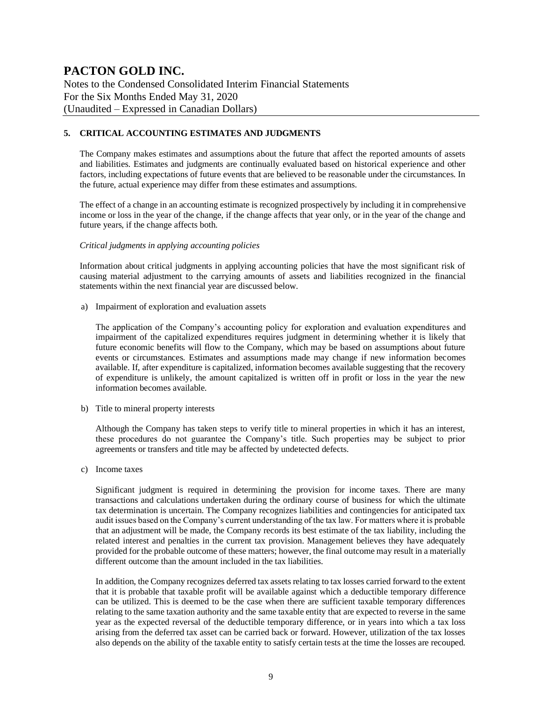Notes to the Condensed Consolidated Interim Financial Statements For the Six Months Ended May 31, 2020 (Unaudited – Expressed in Canadian Dollars)

#### **5. CRITICAL ACCOUNTING ESTIMATES AND JUDGMENTS**

The Company makes estimates and assumptions about the future that affect the reported amounts of assets and liabilities. Estimates and judgments are continually evaluated based on historical experience and other factors, including expectations of future events that are believed to be reasonable under the circumstances. In the future, actual experience may differ from these estimates and assumptions.

The effect of a change in an accounting estimate is recognized prospectively by including it in comprehensive income or loss in the year of the change, if the change affects that year only, or in the year of the change and future years, if the change affects both.

#### *Critical judgments in applying accounting policies*

Information about critical judgments in applying accounting policies that have the most significant risk of causing material adjustment to the carrying amounts of assets and liabilities recognized in the financial statements within the next financial year are discussed below.

a) Impairment of exploration and evaluation assets

The application of the Company's accounting policy for exploration and evaluation expenditures and impairment of the capitalized expenditures requires judgment in determining whether it is likely that future economic benefits will flow to the Company, which may be based on assumptions about future events or circumstances. Estimates and assumptions made may change if new information becomes available. If, after expenditure is capitalized, information becomes available suggesting that the recovery of expenditure is unlikely, the amount capitalized is written off in profit or loss in the year the new information becomes available.

b) Title to mineral property interests

Although the Company has taken steps to verify title to mineral properties in which it has an interest, these procedures do not guarantee the Company's title. Such properties may be subject to prior agreements or transfers and title may be affected by undetected defects.

c) Income taxes

Significant judgment is required in determining the provision for income taxes. There are many transactions and calculations undertaken during the ordinary course of business for which the ultimate tax determination is uncertain. The Company recognizes liabilities and contingencies for anticipated tax audit issues based on the Company's current understanding of the tax law. For matters where it is probable that an adjustment will be made, the Company records its best estimate of the tax liability, including the related interest and penalties in the current tax provision. Management believes they have adequately provided for the probable outcome of these matters; however, the final outcome may result in a materially different outcome than the amount included in the tax liabilities.

In addition, the Company recognizes deferred tax assets relating to tax losses carried forward to the extent that it is probable that taxable profit will be available against which a deductible temporary difference can be utilized. This is deemed to be the case when there are sufficient taxable temporary differences relating to the same taxation authority and the same taxable entity that are expected to reverse in the same year as the expected reversal of the deductible temporary difference, or in years into which a tax loss arising from the deferred tax asset can be carried back or forward. However, utilization of the tax losses also depends on the ability of the taxable entity to satisfy certain tests at the time the losses are recouped.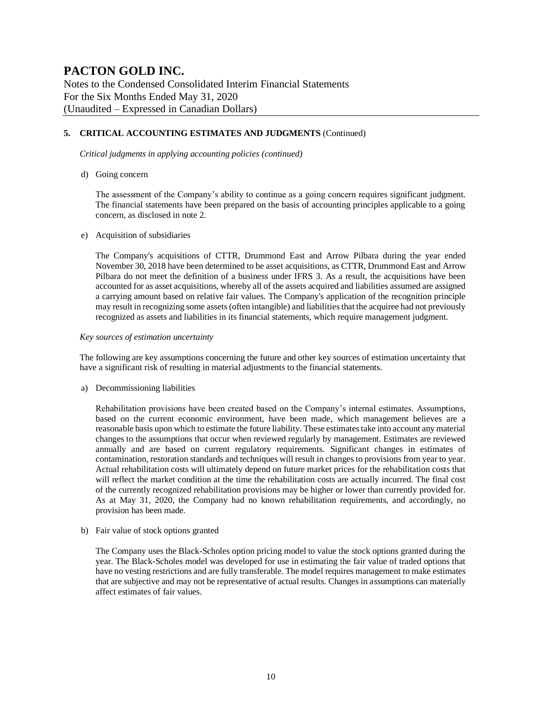Notes to the Condensed Consolidated Interim Financial Statements For the Six Months Ended May 31, 2020 (Unaudited – Expressed in Canadian Dollars)

#### **5. CRITICAL ACCOUNTING ESTIMATES AND JUDGMENTS** (Continued)

*Critical judgments in applying accounting policies (continued)*

d) Going concern

The assessment of the Company's ability to continue as a going concern requires significant judgment. The financial statements have been prepared on the basis of accounting principles applicable to a going concern, as disclosed in note 2.

#### e) Acquisition of subsidiaries

The Company's acquisitions of CTTR, Drummond East and Arrow Pilbara during the year ended November 30, 2018 have been determined to be asset acquisitions, as CTTR, Drummond East and Arrow Pilbara do not meet the definition of a business under IFRS 3. As a result, the acquisitions have been accounted for as asset acquisitions, whereby all of the assets acquired and liabilities assumed are assigned a carrying amount based on relative fair values. The Company's application of the recognition principle may result in recognizing some assets (often intangible) and liabilities that the acquiree had not previously recognized as assets and liabilities in its financial statements, which require management judgment.

#### *Key sources of estimation uncertainty*

The following are key assumptions concerning the future and other key sources of estimation uncertainty that have a significant risk of resulting in material adjustments to the financial statements.

a) Decommissioning liabilities

Rehabilitation provisions have been created based on the Company's internal estimates. Assumptions, based on the current economic environment, have been made, which management believes are a reasonable basis upon which to estimate the future liability. These estimates take into account any material changes to the assumptions that occur when reviewed regularly by management. Estimates are reviewed annually and are based on current regulatory requirements. Significant changes in estimates of contamination, restoration standards and techniques will result in changes to provisions from year to year. Actual rehabilitation costs will ultimately depend on future market prices for the rehabilitation costs that will reflect the market condition at the time the rehabilitation costs are actually incurred. The final cost of the currently recognized rehabilitation provisions may be higher or lower than currently provided for. As at May 31, 2020, the Company had no known rehabilitation requirements, and accordingly, no provision has been made.

b) Fair value of stock options granted

The Company uses the Black-Scholes option pricing model to value the stock options granted during the year. The Black-Scholes model was developed for use in estimating the fair value of traded options that have no vesting restrictions and are fully transferable. The model requires management to make estimates that are subjective and may not be representative of actual results. Changes in assumptions can materially affect estimates of fair values.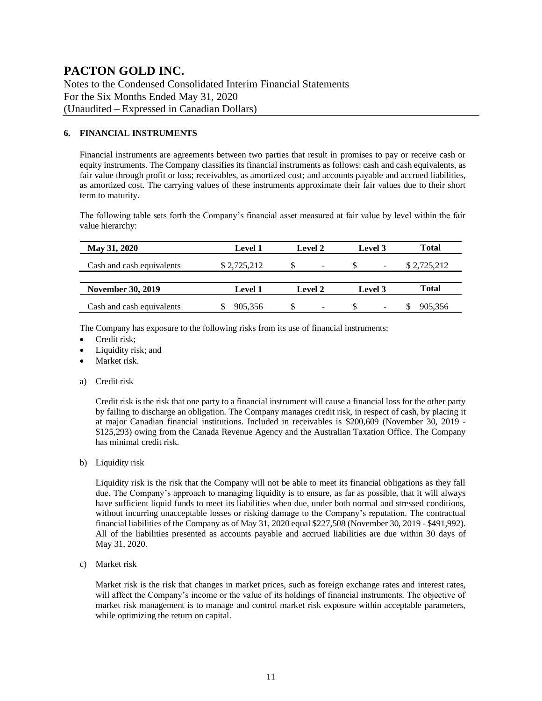Notes to the Condensed Consolidated Interim Financial Statements For the Six Months Ended May 31, 2020 (Unaudited – Expressed in Canadian Dollars)

#### **6. FINANCIAL INSTRUMENTS**

Financial instruments are agreements between two parties that result in promises to pay or receive cash or equity instruments. The Company classifies its financial instruments as follows: cash and cash equivalents, as fair value through profit or loss; receivables, as amortized cost; and accounts payable and accrued liabilities, as amortized cost. The carrying values of these instruments approximate their fair values due to their short term to maturity.

The following table sets forth the Company's financial asset measured at fair value by level within the fair value hierarchy:

| May 31, 2020              | <b>Level 1</b> | <b>Level 2</b>           | Level 3                  |              |  |
|---------------------------|----------------|--------------------------|--------------------------|--------------|--|
| Cash and cash equivalents | \$2,725,212    | $\overline{a}$           | $\overline{\phantom{a}}$ | \$2,725,212  |  |
|                           |                |                          |                          |              |  |
| <b>November 30, 2019</b>  | <b>Level 1</b> | <b>Level 2</b>           | Level 3                  | <b>Total</b> |  |
| Cash and cash equivalents | 905,356        | $\overline{\phantom{0}}$ | $\overline{\phantom{0}}$ | 905,356      |  |

The Company has exposure to the following risks from its use of financial instruments:

- Credit risk;
- Liquidity risk; and
- Market risk.
- a) Credit risk

Credit risk is the risk that one party to a financial instrument will cause a financial loss for the other party by failing to discharge an obligation. The Company manages credit risk, in respect of cash, by placing it at major Canadian financial institutions. Included in receivables is \$200,609 (November 30, 2019 - \$125,293) owing from the Canada Revenue Agency and the Australian Taxation Office. The Company has minimal credit risk.

b) Liquidity risk

Liquidity risk is the risk that the Company will not be able to meet its financial obligations as they fall due. The Company's approach to managing liquidity is to ensure, as far as possible, that it will always have sufficient liquid funds to meet its liabilities when due, under both normal and stressed conditions, without incurring unacceptable losses or risking damage to the Company's reputation. The contractual financial liabilities of the Company as of May 31, 2020 equal \$227,508 (November 30, 2019 - \$491,992). All of the liabilities presented as accounts payable and accrued liabilities are due within 30 days of May 31, 2020.

c) Market risk

Market risk is the risk that changes in market prices, such as foreign exchange rates and interest rates, will affect the Company's income or the value of its holdings of financial instruments. The objective of market risk management is to manage and control market risk exposure within acceptable parameters, while optimizing the return on capital.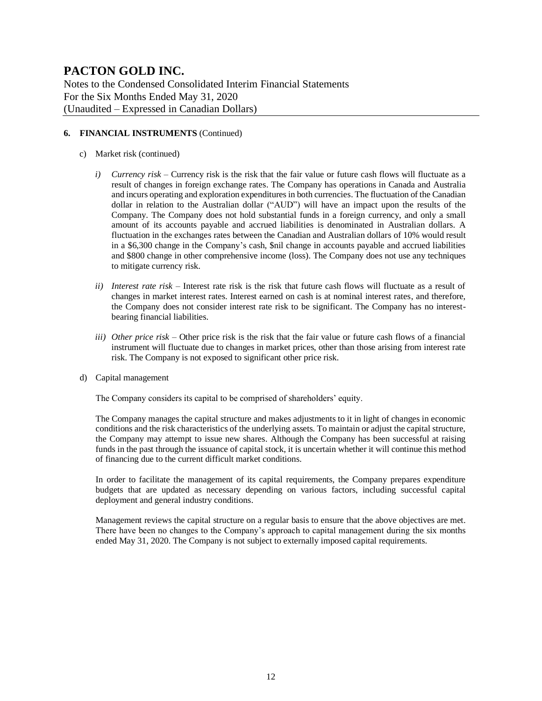Notes to the Condensed Consolidated Interim Financial Statements For the Six Months Ended May 31, 2020 (Unaudited – Expressed in Canadian Dollars)

#### **6. FINANCIAL INSTRUMENTS** (Continued)

- c) Market risk (continued)
	- *i) Currency risk* Currency risk is the risk that the fair value or future cash flows will fluctuate as a result of changes in foreign exchange rates. The Company has operations in Canada and Australia and incurs operating and exploration expenditures in both currencies. The fluctuation of the Canadian dollar in relation to the Australian dollar ("AUD") will have an impact upon the results of the Company. The Company does not hold substantial funds in a foreign currency, and only a small amount of its accounts payable and accrued liabilities is denominated in Australian dollars. A fluctuation in the exchanges rates between the Canadian and Australian dollars of 10% would result in a \$6,300 change in the Company's cash, \$nil change in accounts payable and accrued liabilities and \$800 change in other comprehensive income (loss). The Company does not use any techniques to mitigate currency risk.
	- *ii) Interest rate risk –* Interest rate risk is the risk that future cash flows will fluctuate as a result of changes in market interest rates. Interest earned on cash is at nominal interest rates, and therefore, the Company does not consider interest rate risk to be significant. The Company has no interestbearing financial liabilities.
	- *iii) Other price risk –* Other price risk is the risk that the fair value or future cash flows of a financial instrument will fluctuate due to changes in market prices, other than those arising from interest rate risk. The Company is not exposed to significant other price risk.
- d) Capital management

The Company considers its capital to be comprised of shareholders' equity.

The Company manages the capital structure and makes adjustments to it in light of changes in economic conditions and the risk characteristics of the underlying assets. To maintain or adjust the capital structure, the Company may attempt to issue new shares. Although the Company has been successful at raising funds in the past through the issuance of capital stock, it is uncertain whether it will continue this method of financing due to the current difficult market conditions.

In order to facilitate the management of its capital requirements, the Company prepares expenditure budgets that are updated as necessary depending on various factors, including successful capital deployment and general industry conditions.

Management reviews the capital structure on a regular basis to ensure that the above objectives are met. There have been no changes to the Company's approach to capital management during the six months ended May 31, 2020. The Company is not subject to externally imposed capital requirements.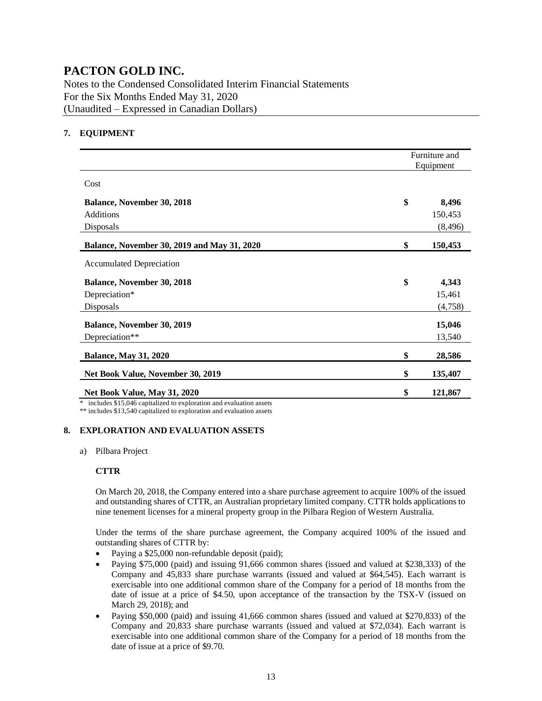Notes to the Condensed Consolidated Interim Financial Statements For the Six Months Ended May 31, 2020 (Unaudited – Expressed in Canadian Dollars)

#### **7. EQUIPMENT**

|                                             | Furniture and<br>Equipment |
|---------------------------------------------|----------------------------|
| Cost                                        |                            |
| <b>Balance, November 30, 2018</b>           | \$<br>8,496                |
| <b>Additions</b>                            | 150,453                    |
| Disposals                                   | (8, 496)                   |
| Balance, November 30, 2019 and May 31, 2020 | \$<br>150,453              |
| <b>Accumulated Depreciation</b>             |                            |
| <b>Balance, November 30, 2018</b>           | \$<br>4,343                |
| Depreciation*                               | 15,461                     |
| Disposals                                   | (4,758)                    |
| <b>Balance, November 30, 2019</b>           | 15,046                     |
| Depreciation**                              | 13,540                     |
| <b>Balance, May 31, 2020</b>                | \$<br>28,586               |
| Net Book Value, November 30, 2019           | \$<br>135,407              |
| Net Book Value, May 31, 2020                | \$<br>121,867              |

\* includes \$15,046 capitalized to exploration and evaluation assets

\*\* includes \$13,540 capitalized to exploration and evaluation assets

#### **8. EXPLORATION AND EVALUATION ASSETS**

a) Pilbara Project

#### **CTTR**

On March 20, 2018, the Company entered into a share purchase agreement to acquire 100% of the issued and outstanding shares of CTTR, an Australian proprietary limited company. CTTR holds applications to nine tenement licenses for a mineral property group in the Pilbara Region of Western Australia.

Under the terms of the share purchase agreement, the Company acquired 100% of the issued and outstanding shares of CTTR by:

- Paying a \$25,000 non-refundable deposit (paid);
- Paying \$75,000 (paid) and issuing 91,666 common shares (issued and valued at \$238,333) of the Company and 45,833 share purchase warrants (issued and valued at \$64,545). Each warrant is exercisable into one additional common share of the Company for a period of 18 months from the date of issue at a price of \$4.50, upon acceptance of the transaction by the TSX-V (issued on March 29, 2018); and
- Paying \$50,000 (paid) and issuing 41,666 common shares (issued and valued at \$270,833) of the Company and 20,833 share purchase warrants (issued and valued at \$72,034). Each warrant is exercisable into one additional common share of the Company for a period of 18 months from the date of issue at a price of \$9.70.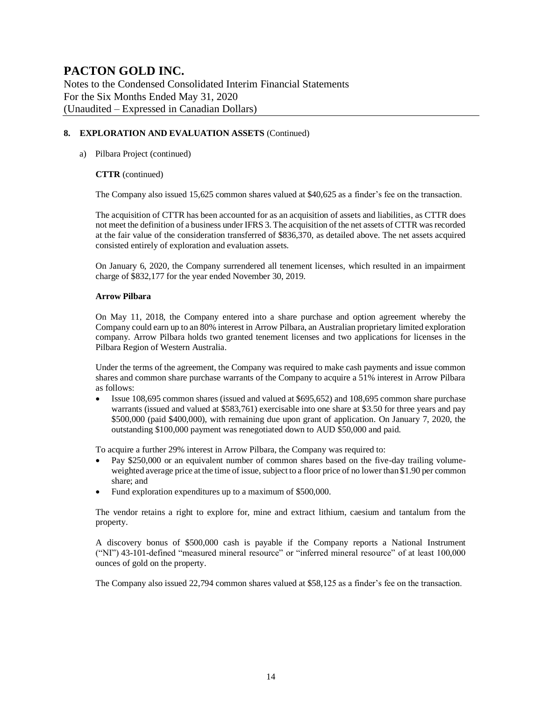Notes to the Condensed Consolidated Interim Financial Statements For the Six Months Ended May 31, 2020 (Unaudited – Expressed in Canadian Dollars)

#### **8. EXPLORATION AND EVALUATION ASSETS** (Continued)

#### a) Pilbara Project (continued)

#### **CTTR** (continued)

The Company also issued 15,625 common shares valued at \$40,625 as a finder's fee on the transaction.

The acquisition of CTTR has been accounted for as an acquisition of assets and liabilities, as CTTR does not meet the definition of a business under IFRS 3. The acquisition of the net assets of CTTR was recorded at the fair value of the consideration transferred of \$836,370, as detailed above. The net assets acquired consisted entirely of exploration and evaluation assets.

On January 6, 2020, the Company surrendered all tenement licenses, which resulted in an impairment charge of \$832,177 for the year ended November 30, 2019.

#### **Arrow Pilbara**

On May 11, 2018, the Company entered into a share purchase and option agreement whereby the Company could earn up to an 80% interest in Arrow Pilbara, an Australian proprietary limited exploration company. Arrow Pilbara holds two granted tenement licenses and two applications for licenses in the Pilbara Region of Western Australia.

Under the terms of the agreement, the Company was required to make cash payments and issue common shares and common share purchase warrants of the Company to acquire a 51% interest in Arrow Pilbara as follows:

• Issue 108,695 common shares (issued and valued at \$695,652) and 108,695 common share purchase warrants (issued and valued at \$583,761) exercisable into one share at \$3.50 for three years and pay \$500,000 (paid \$400,000), with remaining due upon grant of application. On January 7, 2020, the outstanding \$100,000 payment was renegotiated down to AUD \$50,000 and paid.

To acquire a further 29% interest in Arrow Pilbara, the Company was required to:

- Pay \$250,000 or an equivalent number of common shares based on the five-day trailing volumeweighted average price at the time of issue, subject to a floor price of no lower than \$1.90 per common share; and
- Fund exploration expenditures up to a maximum of \$500,000.

The vendor retains a right to explore for, mine and extract lithium, caesium and tantalum from the property.

A discovery bonus of \$500,000 cash is payable if the Company reports a National Instrument ("NI") 43-101-defined "measured mineral resource" or "inferred mineral resource" of at least 100,000 ounces of gold on the property.

The Company also issued 22,794 common shares valued at \$58,125 as a finder's fee on the transaction.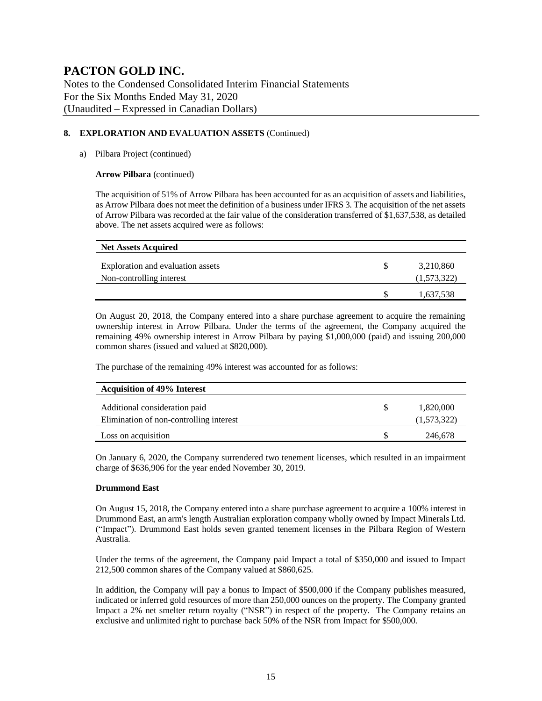Notes to the Condensed Consolidated Interim Financial Statements For the Six Months Ended May 31, 2020 (Unaudited – Expressed in Canadian Dollars)

#### **8. EXPLORATION AND EVALUATION ASSETS** (Continued)

#### a) Pilbara Project (continued)

#### **Arrow Pilbara** (continued)

The acquisition of 51% of Arrow Pilbara has been accounted for as an acquisition of assets and liabilities, as Arrow Pilbara does not meet the definition of a business under IFRS 3. The acquisition of the net assets of Arrow Pilbara was recorded at the fair value of the consideration transferred of \$1,637,538, as detailed above. The net assets acquired were as follows:

| <b>Net Assets Acquired</b>        |   |             |
|-----------------------------------|---|-------------|
| Exploration and evaluation assets | S | 3,210,860   |
| Non-controlling interest          |   | (1,573,322) |
|                                   |   | 1,637,538   |

On August 20, 2018, the Company entered into a share purchase agreement to acquire the remaining ownership interest in Arrow Pilbara. Under the terms of the agreement, the Company acquired the remaining 49% ownership interest in Arrow Pilbara by paying \$1,000,000 (paid) and issuing 200,000 common shares (issued and valued at \$820,000).

The purchase of the remaining 49% interest was accounted for as follows:

| <b>Acquisition of 49% Interest</b>      |             |
|-----------------------------------------|-------------|
| Additional consideration paid           | 1,820,000   |
| Elimination of non-controlling interest | (1,573,322) |
| Loss on acquisition                     | 246,678     |

On January 6, 2020, the Company surrendered two tenement licenses, which resulted in an impairment charge of \$636,906 for the year ended November 30, 2019.

#### **Drummond East**

On August 15, 2018, the Company entered into a share purchase agreement to acquire a 100% interest in Drummond East, an arm's length Australian exploration company wholly owned by Impact Minerals Ltd. ("Impact"). Drummond East holds seven granted tenement licenses in the Pilbara Region of Western Australia.

Under the terms of the agreement, the Company paid Impact a total of \$350,000 and issued to Impact 212,500 common shares of the Company valued at \$860,625.

In addition, the Company will pay a bonus to Impact of \$500,000 if the Company publishes measured, indicated or inferred gold resources of more than 250,000 ounces on the property. The Company granted Impact a 2% net smelter return royalty ("NSR") in respect of the property. The Company retains an exclusive and unlimited right to purchase back 50% of the NSR from Impact for \$500,000.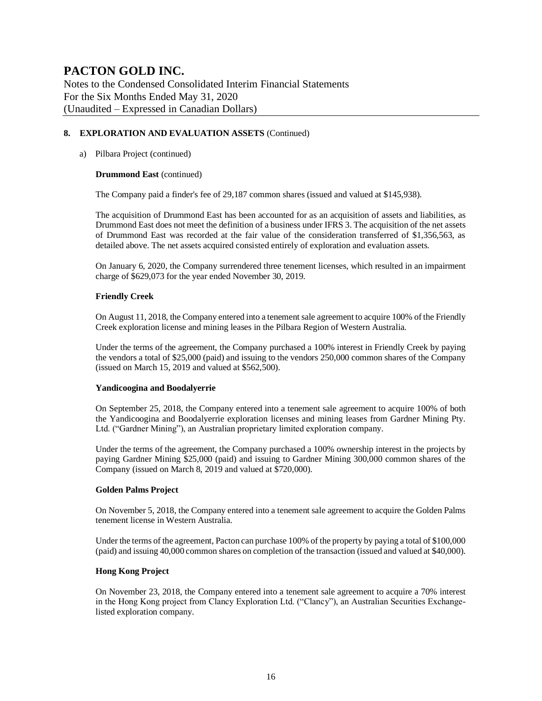Notes to the Condensed Consolidated Interim Financial Statements For the Six Months Ended May 31, 2020 (Unaudited – Expressed in Canadian Dollars)

#### **8. EXPLORATION AND EVALUATION ASSETS** (Continued)

#### a) Pilbara Project (continued)

#### **Drummond East** (continued)

The Company paid a finder's fee of 29,187 common shares (issued and valued at \$145,938).

The acquisition of Drummond East has been accounted for as an acquisition of assets and liabilities, as Drummond East does not meet the definition of a business under IFRS 3. The acquisition of the net assets of Drummond East was recorded at the fair value of the consideration transferred of \$1,356,563, as detailed above. The net assets acquired consisted entirely of exploration and evaluation assets.

On January 6, 2020, the Company surrendered three tenement licenses, which resulted in an impairment charge of \$629,073 for the year ended November 30, 2019.

#### **Friendly Creek**

On August 11, 2018, the Company entered into a tenement sale agreement to acquire 100% of the Friendly Creek exploration license and mining leases in the Pilbara Region of Western Australia.

Under the terms of the agreement, the Company purchased a 100% interest in Friendly Creek by paying the vendors a total of \$25,000 (paid) and issuing to the vendors 250,000 common shares of the Company (issued on March 15, 2019 and valued at \$562,500).

#### **Yandicoogina and Boodalyerrie**

On September 25, 2018, the Company entered into a tenement sale agreement to acquire 100% of both the Yandicoogina and Boodalyerrie exploration licenses and mining leases from Gardner Mining Pty. Ltd. ("Gardner Mining"), an Australian proprietary limited exploration company.

Under the terms of the agreement, the Company purchased a 100% ownership interest in the projects by paying Gardner Mining \$25,000 (paid) and issuing to Gardner Mining 300,000 common shares of the Company (issued on March 8, 2019 and valued at \$720,000).

#### **Golden Palms Project**

On November 5, 2018, the Company entered into a tenement sale agreement to acquire the Golden Palms tenement license in Western Australia.

Under the terms of the agreement, Pacton can purchase 100% of the property by paying a total of \$100,000 (paid) and issuing 40,000 common shares on completion of the transaction (issued and valued at \$40,000).

#### **Hong Kong Project**

On November 23, 2018, the Company entered into a tenement sale agreement to acquire a 70% interest in the Hong Kong project from Clancy Exploration Ltd. ("Clancy"), an Australian Securities Exchangelisted exploration company.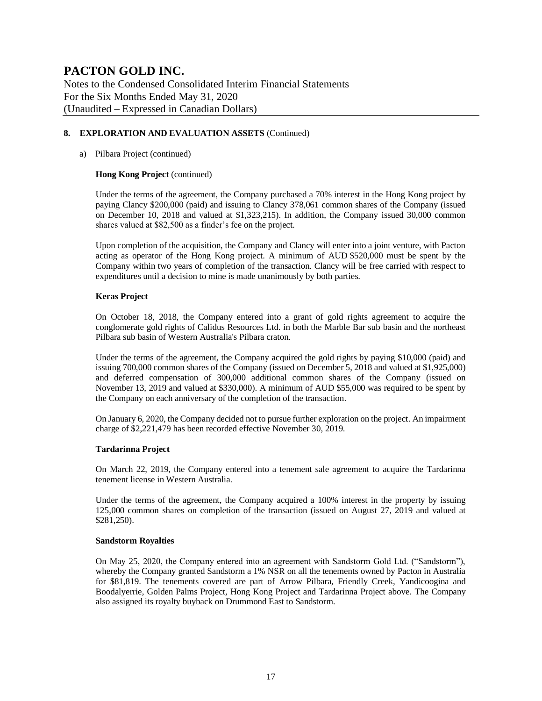Notes to the Condensed Consolidated Interim Financial Statements For the Six Months Ended May 31, 2020 (Unaudited – Expressed in Canadian Dollars)

#### **8. EXPLORATION AND EVALUATION ASSETS** (Continued)

#### a) Pilbara Project (continued)

#### **Hong Kong Project** (continued)

Under the terms of the agreement, the Company purchased a 70% interest in the Hong Kong project by paying Clancy \$200,000 (paid) and issuing to Clancy 378,061 common shares of the Company (issued on December 10, 2018 and valued at \$1,323,215). In addition, the Company issued 30,000 common shares valued at \$82,500 as a finder's fee on the project.

Upon completion of the acquisition, the Company and Clancy will enter into a joint venture, with Pacton acting as operator of the Hong Kong project. A minimum of AUD \$520,000 must be spent by the Company within two years of completion of the transaction. Clancy will be free carried with respect to expenditures until a decision to mine is made unanimously by both parties.

#### **Keras Project**

On October 18, 2018, the Company entered into a grant of gold rights agreement to acquire the conglomerate gold rights of Calidus Resources Ltd. in both the Marble Bar sub basin and the northeast Pilbara sub basin of Western Australia's Pilbara craton.

Under the terms of the agreement, the Company acquired the gold rights by paying \$10,000 (paid) and issuing 700,000 common shares of the Company (issued on December 5, 2018 and valued at \$1,925,000) and deferred compensation of 300,000 additional common shares of the Company (issued on November 13, 2019 and valued at \$330,000). A minimum of AUD \$55,000 was required to be spent by the Company on each anniversary of the completion of the transaction.

On January 6, 2020, the Company decided not to pursue further exploration on the project. An impairment charge of \$2,221,479 has been recorded effective November 30, 2019.

#### **Tardarinna Project**

On March 22, 2019, the Company entered into a tenement sale agreement to acquire the Tardarinna tenement license in Western Australia.

Under the terms of the agreement, the Company acquired a 100% interest in the property by issuing 125,000 common shares on completion of the transaction (issued on August 27, 2019 and valued at \$281,250).

#### **Sandstorm Royalties**

On May 25, 2020, the Company entered into an agreement with Sandstorm Gold Ltd. ("Sandstorm"), whereby the Company granted Sandstorm a 1% NSR on all the tenements owned by Pacton in Australia for \$81,819. The tenements covered are part of Arrow Pilbara, Friendly Creek, Yandicoogina and Boodalyerrie, Golden Palms Project, Hong Kong Project and Tardarinna Project above. The Company also assigned its royalty buyback on Drummond East to Sandstorm.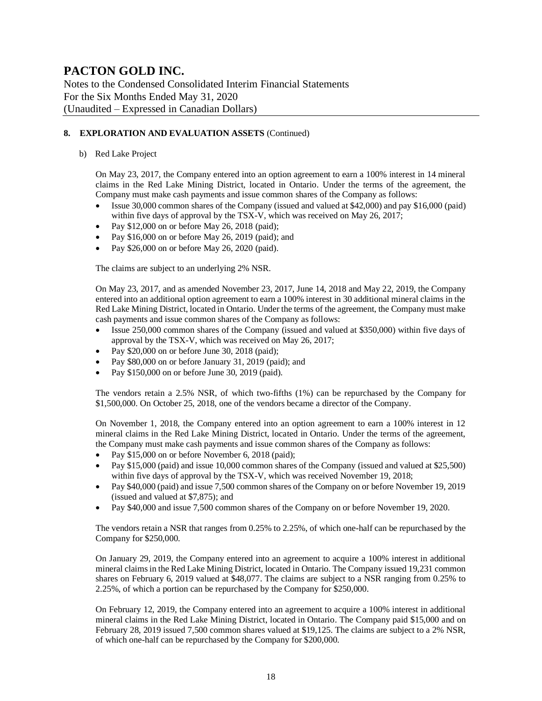Notes to the Condensed Consolidated Interim Financial Statements For the Six Months Ended May 31, 2020 (Unaudited – Expressed in Canadian Dollars)

#### **8. EXPLORATION AND EVALUATION ASSETS** (Continued)

b) Red Lake Project

On May 23, 2017, the Company entered into an option agreement to earn a 100% interest in 14 mineral claims in the Red Lake Mining District, located in Ontario. Under the terms of the agreement, the Company must make cash payments and issue common shares of the Company as follows:

- Issue 30,000 common shares of the Company (issued and valued at \$42,000) and pay \$16,000 (paid) within five days of approval by the TSX-V, which was received on May 26, 2017;
- Pay  $$12,000$  on or before May 26, 2018 (paid);
- Pay \$16,000 on or before May 26, 2019 (paid); and
- Pay \$26,000 on or before May 26, 2020 (paid).

The claims are subject to an underlying 2% NSR.

On May 23, 2017, and as amended November 23, 2017, June 14, 2018 and May 22, 2019, the Company entered into an additional option agreement to earn a 100% interest in 30 additional mineral claims in the Red Lake Mining District, located in Ontario. Under the terms of the agreement, the Company must make cash payments and issue common shares of the Company as follows:

- Issue 250,000 common shares of the Company (issued and valued at \$350,000) within five days of approval by the TSX-V, which was received on May 26, 2017;
- Pay \$20,000 on or before June 30, 2018 (paid);
- Pay \$80,000 on or before January 31, 2019 (paid); and
- Pay \$150,000 on or before June 30, 2019 (paid).

The vendors retain a 2.5% NSR, of which two-fifths (1%) can be repurchased by the Company for \$1,500,000. On October 25, 2018, one of the vendors became a director of the Company.

On November 1, 2018, the Company entered into an option agreement to earn a 100% interest in 12 mineral claims in the Red Lake Mining District, located in Ontario. Under the terms of the agreement, the Company must make cash payments and issue common shares of the Company as follows:

- Pay \$15,000 on or before November 6, 2018 (paid);
- Pay \$15,000 (paid) and issue 10,000 common shares of the Company (issued and valued at \$25,500) within five days of approval by the TSX-V, which was received November 19, 2018;
- Pay \$40,000 (paid) and issue 7,500 common shares of the Company on or before November 19, 2019 (issued and valued at \$7,875); and
- Pay \$40,000 and issue 7,500 common shares of the Company on or before November 19, 2020.

The vendors retain a NSR that ranges from 0.25% to 2.25%, of which one-half can be repurchased by the Company for \$250,000.

On January 29, 2019, the Company entered into an agreement to acquire a 100% interest in additional mineral claims in the Red Lake Mining District, located in Ontario. The Company issued 19,231 common shares on February 6, 2019 valued at \$48,077. The claims are subject to a NSR ranging from 0.25% to 2.25%, of which a portion can be repurchased by the Company for \$250,000.

On February 12, 2019, the Company entered into an agreement to acquire a 100% interest in additional mineral claims in the Red Lake Mining District, located in Ontario. The Company paid \$15,000 and on February 28, 2019 issued 7,500 common shares valued at \$19,125. The claims are subject to a 2% NSR, of which one-half can be repurchased by the Company for \$200,000.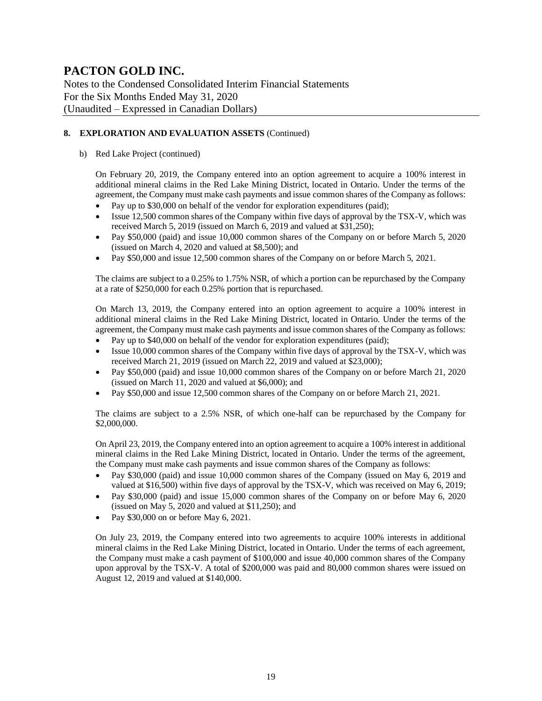Notes to the Condensed Consolidated Interim Financial Statements For the Six Months Ended May 31, 2020 (Unaudited – Expressed in Canadian Dollars)

#### **8. EXPLORATION AND EVALUATION ASSETS** (Continued)

#### b) Red Lake Project (continued)

On February 20, 2019, the Company entered into an option agreement to acquire a 100% interest in additional mineral claims in the Red Lake Mining District, located in Ontario. Under the terms of the agreement, the Company must make cash payments and issue common shares of the Company as follows:

- Pay up to \$30,000 on behalf of the vendor for exploration expenditures (paid);
- Issue 12,500 common shares of the Company within five days of approval by the TSX-V, which was received March 5, 2019 (issued on March 6, 2019 and valued at \$31,250);
- Pay \$50,000 (paid) and issue 10,000 common shares of the Company on or before March 5, 2020 (issued on March 4, 2020 and valued at \$8,500); and
- Pay \$50,000 and issue 12,500 common shares of the Company on or before March 5, 2021.

The claims are subject to a 0.25% to 1.75% NSR, of which a portion can be repurchased by the Company at a rate of \$250,000 for each 0.25% portion that is repurchased.

On March 13, 2019, the Company entered into an option agreement to acquire a 100% interest in additional mineral claims in the Red Lake Mining District, located in Ontario. Under the terms of the agreement, the Company must make cash payments and issue common shares of the Company as follows:

- Pay up to \$40,000 on behalf of the vendor for exploration expenditures (paid);
- Issue 10,000 common shares of the Company within five days of approval by the TSX-V, which was received March 21, 2019 (issued on March 22, 2019 and valued at \$23,000);
- Pay \$50,000 (paid) and issue 10,000 common shares of the Company on or before March 21, 2020 (issued on March 11, 2020 and valued at \$6,000); and
- Pay \$50,000 and issue 12,500 common shares of the Company on or before March 21, 2021.

The claims are subject to a 2.5% NSR, of which one-half can be repurchased by the Company for \$2,000,000.

On April 23, 2019, the Company entered into an option agreement to acquire a 100% interest in additional mineral claims in the Red Lake Mining District, located in Ontario. Under the terms of the agreement, the Company must make cash payments and issue common shares of the Company as follows:

- Pay \$30,000 (paid) and issue 10,000 common shares of the Company (issued on May 6, 2019 and valued at \$16,500) within five days of approval by the TSX-V, which was received on May 6, 2019;
- Pay \$30,000 (paid) and issue 15,000 common shares of the Company on or before May 6, 2020 (issued on May 5, 2020 and valued at  $$11,250$ ); and
- Pay \$30,000 on or before May 6, 2021.

On July 23, 2019, the Company entered into two agreements to acquire 100% interests in additional mineral claims in the Red Lake Mining District, located in Ontario. Under the terms of each agreement, the Company must make a cash payment of \$100,000 and issue 40,000 common shares of the Company upon approval by the TSX-V. A total of \$200,000 was paid and 80,000 common shares were issued on August 12, 2019 and valued at \$140,000.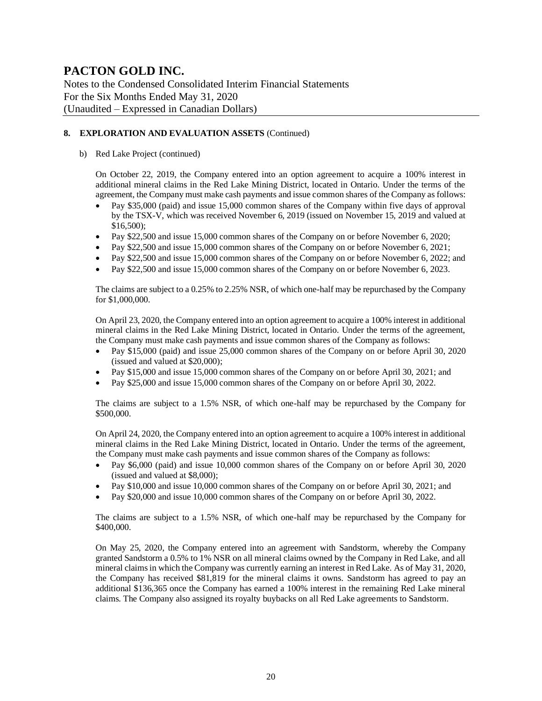Notes to the Condensed Consolidated Interim Financial Statements For the Six Months Ended May 31, 2020 (Unaudited – Expressed in Canadian Dollars)

#### **8. EXPLORATION AND EVALUATION ASSETS** (Continued)

b) Red Lake Project (continued)

On October 22, 2019, the Company entered into an option agreement to acquire a 100% interest in additional mineral claims in the Red Lake Mining District, located in Ontario. Under the terms of the agreement, the Company must make cash payments and issue common shares of the Company as follows:

- Pay \$35,000 (paid) and issue 15,000 common shares of the Company within five days of approval by the TSX-V, which was received November 6, 2019 (issued on November 15, 2019 and valued at \$16,500);
- Pay \$22,500 and issue 15,000 common shares of the Company on or before November 6, 2020;
- Pay \$22,500 and issue 15,000 common shares of the Company on or before November 6, 2021;
- Pay \$22,500 and issue 15,000 common shares of the Company on or before November 6, 2022; and
- Pay \$22,500 and issue 15,000 common shares of the Company on or before November 6, 2023.

The claims are subject to a 0.25% to 2.25% NSR, of which one-half may be repurchased by the Company for \$1,000,000.

On April 23, 2020, the Company entered into an option agreement to acquire a 100% interest in additional mineral claims in the Red Lake Mining District, located in Ontario. Under the terms of the agreement, the Company must make cash payments and issue common shares of the Company as follows:

- Pay \$15,000 (paid) and issue 25,000 common shares of the Company on or before April 30, 2020 (issued and valued at \$20,000);
- Pay \$15,000 and issue 15,000 common shares of the Company on or before April 30, 2021; and
- Pay \$25,000 and issue 15,000 common shares of the Company on or before April 30, 2022.

The claims are subject to a 1.5% NSR, of which one-half may be repurchased by the Company for \$500,000.

On April 24, 2020, the Company entered into an option agreement to acquire a 100% interest in additional mineral claims in the Red Lake Mining District, located in Ontario. Under the terms of the agreement, the Company must make cash payments and issue common shares of the Company as follows:

- Pay \$6,000 (paid) and issue 10,000 common shares of the Company on or before April 30, 2020 (issued and valued at \$8,000);
- Pay \$10,000 and issue 10,000 common shares of the Company on or before April 30, 2021; and
- Pay \$20,000 and issue 10,000 common shares of the Company on or before April 30, 2022.

The claims are subject to a 1.5% NSR, of which one-half may be repurchased by the Company for \$400,000.

On May 25, 2020, the Company entered into an agreement with Sandstorm, whereby the Company granted Sandstorm a 0.5% to 1% NSR on all mineral claims owned by the Company in Red Lake, and all mineral claims in which the Company was currently earning an interest in Red Lake. As of May 31, 2020, the Company has received \$81,819 for the mineral claims it owns. Sandstorm has agreed to pay an additional \$136,365 once the Company has earned a 100% interest in the remaining Red Lake mineral claims. The Company also assigned its royalty buybacks on all Red Lake agreements to Sandstorm.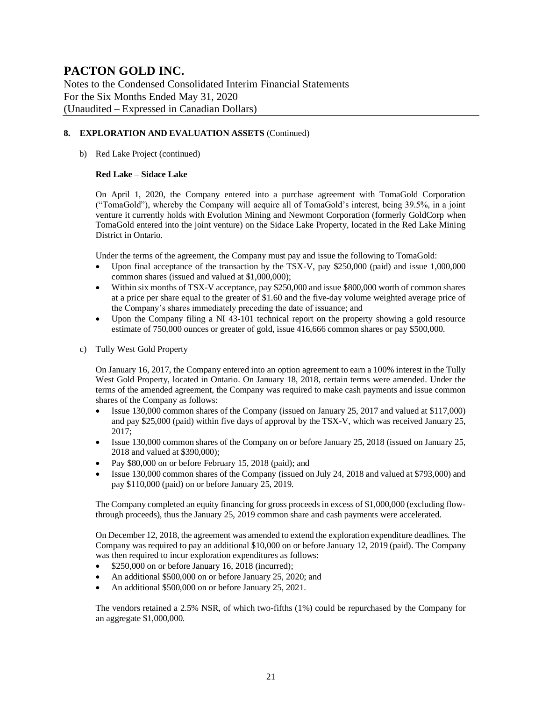Notes to the Condensed Consolidated Interim Financial Statements For the Six Months Ended May 31, 2020 (Unaudited – Expressed in Canadian Dollars)

#### **8. EXPLORATION AND EVALUATION ASSETS** (Continued)

#### b) Red Lake Project (continued)

#### **Red Lake – Sidace Lake**

On April 1, 2020, the Company entered into a purchase agreement with TomaGold Corporation ("TomaGold"), whereby the Company will acquire all of TomaGold's interest, being 39.5%, in a joint venture it currently holds with Evolution Mining and Newmont Corporation (formerly GoldCorp when TomaGold entered into the joint venture) on the Sidace Lake Property, located in the Red Lake Mining District in Ontario.

Under the terms of the agreement, the Company must pay and issue the following to TomaGold:

- Upon final acceptance of the transaction by the TSX-V, pay \$250,000 (paid) and issue 1,000,000 common shares (issued and valued at \$1,000,000);
- Within six months of TSX-V acceptance, pay \$250,000 and issue \$800,000 worth of common shares at a price per share equal to the greater of \$1.60 and the five-day volume weighted average price of the Company's shares immediately preceding the date of issuance; and
- Upon the Company filing a NI 43-101 technical report on the property showing a gold resource estimate of 750,000 ounces or greater of gold, issue 416,666 common shares or pay \$500,000.
- c) Tully West Gold Property

On January 16, 2017, the Company entered into an option agreement to earn a 100% interest in the Tully West Gold Property, located in Ontario. On January 18, 2018, certain terms were amended. Under the terms of the amended agreement, the Company was required to make cash payments and issue common shares of the Company as follows:

- Issue 130,000 common shares of the Company (issued on January 25, 2017 and valued at \$117,000) and pay \$25,000 (paid) within five days of approval by the TSX-V, which was received January 25, 2017;
- Issue 130,000 common shares of the Company on or before January 25, 2018 (issued on January 25, 2018 and valued at \$390,000);
- Pay \$80,000 on or before February 15, 2018 (paid); and
- Issue 130,000 common shares of the Company (issued on July 24, 2018 and valued at \$793,000) and pay \$110,000 (paid) on or before January 25, 2019.

The Company completed an equity financing for gross proceeds in excess of \$1,000,000 (excluding flowthrough proceeds), thus the January 25, 2019 common share and cash payments were accelerated.

On December 12, 2018, the agreement was amended to extend the exploration expenditure deadlines. The Company was required to pay an additional \$10,000 on or before January 12, 2019 (paid). The Company was then required to incur exploration expenditures as follows:

- \$250,000 on or before January 16, 2018 (incurred);
- An additional \$500,000 on or before January 25, 2020; and
- An additional \$500,000 on or before January 25, 2021.

The vendors retained a 2.5% NSR, of which two-fifths (1%) could be repurchased by the Company for an aggregate \$1,000,000.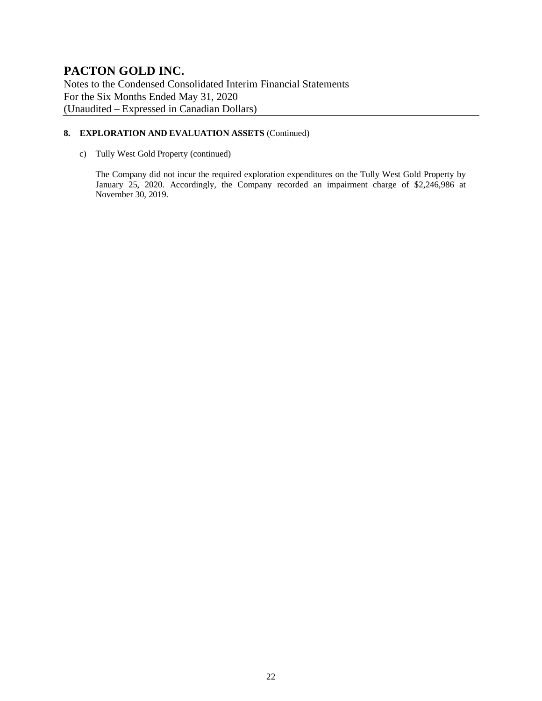Notes to the Condensed Consolidated Interim Financial Statements For the Six Months Ended May 31, 2020 (Unaudited – Expressed in Canadian Dollars)

#### **8. EXPLORATION AND EVALUATION ASSETS** (Continued)

c) Tully West Gold Property (continued)

The Company did not incur the required exploration expenditures on the Tully West Gold Property by January 25, 2020. Accordingly, the Company recorded an impairment charge of \$2,246,986 at November 30, 2019.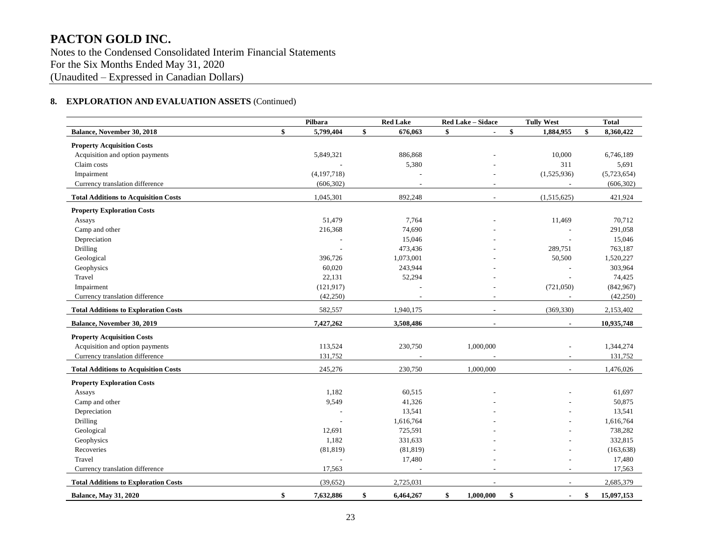Notes to the Condensed Consolidated Interim Financial Statements For the Six Months Ended May 31, 2020 (Unaudited – Expressed in Canadian Dollars)

### **8. EXPLORATION AND EVALUATION ASSETS** (Continued)

|                                             | Pilbara         | <b>Red Lake</b> | Red Lake - Sidace    | <b>Tully West</b> | <b>Total</b>     |
|---------------------------------------------|-----------------|-----------------|----------------------|-------------------|------------------|
| Balance, November 30, 2018                  | \$<br>5,799,404 | \$<br>676,063   | \$<br>$\blacksquare$ | \$<br>1,884,955   | \$<br>8,360,422  |
| <b>Property Acquisition Costs</b>           |                 |                 |                      |                   |                  |
| Acquisition and option payments             | 5,849,321       | 886,868         |                      | 10,000            | 6,746,189        |
| Claim costs                                 |                 | 5,380           |                      | 311               | 5,691            |
| Impairment                                  | (4, 197, 718)   |                 |                      | (1,525,936)       | (5,723,654)      |
| Currency translation difference             | (606, 302)      |                 |                      |                   | (606, 302)       |
| <b>Total Additions to Acquisition Costs</b> | 1,045,301       | 892,248         |                      | (1,515,625)       | 421,924          |
| <b>Property Exploration Costs</b>           |                 |                 |                      |                   |                  |
| Assays                                      | 51,479          | 7,764           |                      | 11,469            | 70,712           |
| Camp and other                              | 216,368         | 74,690          |                      |                   | 291,058          |
| Depreciation                                |                 | 15,046          |                      |                   | 15,046           |
| Drilling                                    |                 | 473,436         |                      | 289,751           | 763,187          |
| Geological                                  | 396,726         | 1,073,001       |                      | 50,500            | 1,520,227        |
| Geophysics                                  | 60,020          | 243,944         |                      |                   | 303,964          |
| Travel                                      | 22,131          | 52,294          |                      |                   | 74,425           |
| Impairment                                  | (121, 917)      |                 |                      | (721,050)         | (842,967)        |
| Currency translation difference             | (42,250)        |                 |                      |                   | (42, 250)        |
| <b>Total Additions to Exploration Costs</b> | 582,557         | 1,940,175       | $\blacksquare$       | (369, 330)        | 2,153,402        |
| <b>Balance, November 30, 2019</b>           | 7,427,262       | 3,508,486       | $\blacksquare$       | $\blacksquare$    | 10,935,748       |
| <b>Property Acquisition Costs</b>           |                 |                 |                      |                   |                  |
| Acquisition and option payments             | 113,524         | 230,750         | 1,000,000            |                   | 1,344,274        |
| Currency translation difference             | 131,752         |                 |                      |                   | 131,752          |
| <b>Total Additions to Acquisition Costs</b> | 245,276         | 230,750         | 1,000,000            |                   | 1,476,026        |
| <b>Property Exploration Costs</b>           |                 |                 |                      |                   |                  |
| Assays                                      | 1,182           | 60,515          |                      |                   | 61,697           |
| Camp and other                              | 9,549           | 41,326          |                      |                   | 50,875           |
| Depreciation                                |                 | 13,541          |                      |                   | 13,541           |
| <b>Drilling</b>                             |                 | 1,616,764       |                      |                   | 1,616,764        |
| Geological                                  | 12,691          | 725,591         |                      |                   | 738,282          |
| Geophysics                                  | 1,182           | 331,633         |                      |                   | 332,815          |
| Recoveries                                  | (81, 819)       | (81, 819)       |                      |                   | (163, 638)       |
| Travel                                      |                 | 17,480          |                      |                   | 17,480           |
| Currency translation difference             | 17,563          |                 |                      |                   | 17,563           |
| <b>Total Additions to Exploration Costs</b> | (39,652)        | 2,725,031       |                      |                   | 2,685,379        |
| <b>Balance, May 31, 2020</b>                | \$<br>7,632,886 | \$<br>6,464,267 | \$<br>1,000,000      | \$                | \$<br>15,097,153 |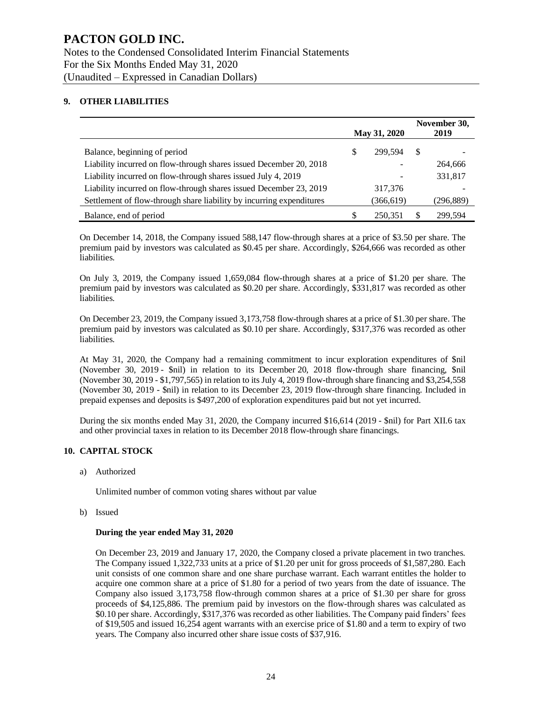#### **9. OTHER LIABILITIES**

|                                                                      |   | May 31, 2020 |    | November 30,<br>2019 |
|----------------------------------------------------------------------|---|--------------|----|----------------------|
| Balance, beginning of period                                         | S | 299.594      | -S |                      |
| Liability incurred on flow-through shares issued December 20, 2018   |   |              |    | 264,666              |
| Liability incurred on flow-through shares issued July 4, 2019        |   |              |    | 331,817              |
| Liability incurred on flow-through shares issued December 23, 2019   |   | 317,376      |    |                      |
| Settlement of flow-through share liability by incurring expenditures |   | (366,619)    |    | (296,889)            |
| Balance, end of period                                               |   | 250.351      |    | 299,594              |

On December 14, 2018, the Company issued 588,147 flow-through shares at a price of \$3.50 per share. The premium paid by investors was calculated as \$0.45 per share. Accordingly, \$264,666 was recorded as other liabilities.

On July 3, 2019, the Company issued 1,659,084 flow-through shares at a price of \$1.20 per share. The premium paid by investors was calculated as \$0.20 per share. Accordingly, \$331,817 was recorded as other liabilities.

On December 23, 2019, the Company issued 3,173,758 flow-through shares at a price of \$1.30 per share. The premium paid by investors was calculated as \$0.10 per share. Accordingly, \$317,376 was recorded as other liabilities.

At May 31, 2020, the Company had a remaining commitment to incur exploration expenditures of \$nil (November 30, 2019 - \$nil) in relation to its December 20, 2018 flow-through share financing, \$nil (November 30, 2019 - \$1,797,565) in relation to its July 4, 2019 flow-through share financing and \$3,254,558 (November 30, 2019 - \$nil) in relation to its December 23, 2019 flow-through share financing. Included in prepaid expenses and deposits is \$497,200 of exploration expenditures paid but not yet incurred.

During the six months ended May 31, 2020, the Company incurred \$16,614 (2019 - \$nil) for Part XII.6 tax and other provincial taxes in relation to its December 2018 flow-through share financings.

#### **10. CAPITAL STOCK**

a) Authorized

Unlimited number of common voting shares without par value

b) Issued

#### **During the year ended May 31, 2020**

On December 23, 2019 and January 17, 2020, the Company closed a private placement in two tranches. The Company issued 1,322,733 units at a price of \$1.20 per unit for gross proceeds of \$1,587,280. Each unit consists of one common share and one share purchase warrant. Each warrant entitles the holder to acquire one common share at a price of \$1.80 for a period of two years from the date of issuance. The Company also issued 3,173,758 flow-through common shares at a price of \$1.30 per share for gross proceeds of \$4,125,886. The premium paid by investors on the flow-through shares was calculated as \$0.10 per share. Accordingly, \$317,376 was recorded as other liabilities. The Company paid finders' fees of \$19,505 and issued 16,254 agent warrants with an exercise price of \$1.80 and a term to expiry of two years. The Company also incurred other share issue costs of \$37,916.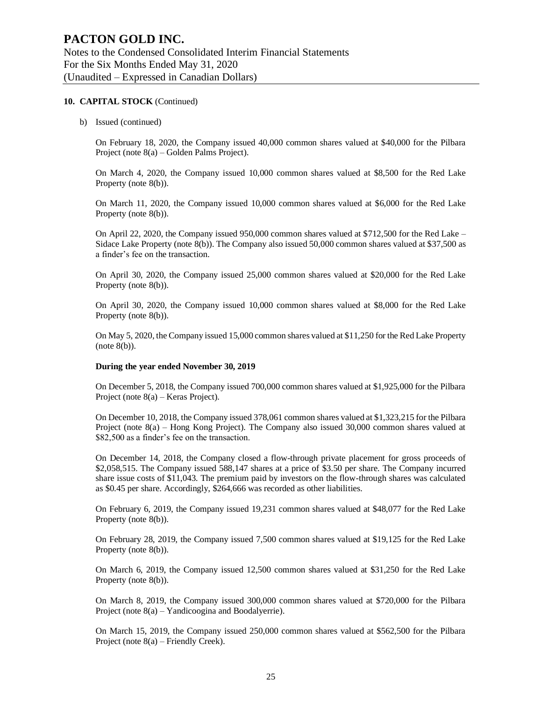#### **10. CAPITAL STOCK** (Continued)

b) Issued (continued)

On February 18, 2020, the Company issued 40,000 common shares valued at \$40,000 for the Pilbara Project (note 8(a) – Golden Palms Project).

On March 4, 2020, the Company issued 10,000 common shares valued at \$8,500 for the Red Lake Property (note 8(b)).

On March 11, 2020, the Company issued 10,000 common shares valued at \$6,000 for the Red Lake Property (note 8(b)).

On April 22, 2020, the Company issued 950,000 common shares valued at \$712,500 for the Red Lake – Sidace Lake Property (note 8(b)). The Company also issued 50,000 common shares valued at \$37,500 as a finder's fee on the transaction.

On April 30, 2020, the Company issued 25,000 common shares valued at \$20,000 for the Red Lake Property (note 8(b)).

On April 30, 2020, the Company issued 10,000 common shares valued at \$8,000 for the Red Lake Property (note 8(b)).

On May 5, 2020, the Company issued 15,000 common shares valued at \$11,250 for the Red Lake Property (note 8(b)).

#### **During the year ended November 30, 2019**

On December 5, 2018, the Company issued 700,000 common shares valued at \$1,925,000 for the Pilbara Project (note 8(a) – Keras Project).

On December 10, 2018, the Company issued 378,061 common shares valued at \$1,323,215 for the Pilbara Project (note 8(a) – Hong Kong Project). The Company also issued 30,000 common shares valued at \$82,500 as a finder's fee on the transaction.

On December 14, 2018, the Company closed a flow-through private placement for gross proceeds of \$2,058,515. The Company issued 588,147 shares at a price of \$3.50 per share. The Company incurred share issue costs of \$11,043. The premium paid by investors on the flow-through shares was calculated as \$0.45 per share. Accordingly, \$264,666 was recorded as other liabilities.

On February 6, 2019, the Company issued 19,231 common shares valued at \$48,077 for the Red Lake Property (note 8(b)).

On February 28, 2019, the Company issued 7,500 common shares valued at \$19,125 for the Red Lake Property (note 8(b)).

On March 6, 2019, the Company issued 12,500 common shares valued at \$31,250 for the Red Lake Property (note 8(b)).

On March 8, 2019, the Company issued 300,000 common shares valued at \$720,000 for the Pilbara Project (note 8(a) – Yandicoogina and Boodalyerrie).

On March 15, 2019, the Company issued 250,000 common shares valued at \$562,500 for the Pilbara Project (note 8(a) – Friendly Creek).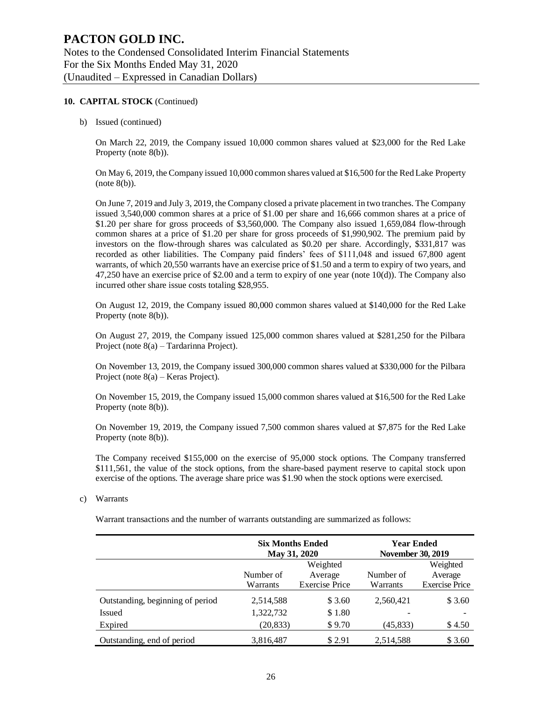#### **10. CAPITAL STOCK** (Continued)

b) Issued (continued)

On March 22, 2019, the Company issued 10,000 common shares valued at \$23,000 for the Red Lake Property (note 8(b)).

On May 6, 2019, the Company issued 10,000 common shares valued at \$16,500 for the Red Lake Property (note 8(b)).

On June 7, 2019 and July 3, 2019, the Company closed a private placement in two tranches. The Company issued 3,540,000 common shares at a price of \$1.00 per share and 16,666 common shares at a price of \$1.20 per share for gross proceeds of \$3,560,000. The Company also issued 1,659,084 flow-through common shares at a price of \$1.20 per share for gross proceeds of \$1,990,902. The premium paid by investors on the flow-through shares was calculated as \$0.20 per share. Accordingly, \$331,817 was recorded as other liabilities. The Company paid finders' fees of \$111,048 and issued 67,800 agent warrants, of which 20,550 warrants have an exercise price of \$1.50 and a term to expiry of two years, and 47,250 have an exercise price of \$2.00 and a term to expiry of one year (note 10(d)). The Company also incurred other share issue costs totaling \$28,955.

On August 12, 2019, the Company issued 80,000 common shares valued at \$140,000 for the Red Lake Property (note 8(b)).

On August 27, 2019, the Company issued 125,000 common shares valued at \$281,250 for the Pilbara Project (note 8(a) – Tardarinna Project).

On November 13, 2019, the Company issued 300,000 common shares valued at \$330,000 for the Pilbara Project (note 8(a) – Keras Project).

On November 15, 2019, the Company issued 15,000 common shares valued at \$16,500 for the Red Lake Property (note 8(b)).

On November 19, 2019, the Company issued 7,500 common shares valued at \$7,875 for the Red Lake Property (note 8(b)).

The Company received \$155,000 on the exercise of 95,000 stock options. The Company transferred \$111,561, the value of the stock options, from the share-based payment reserve to capital stock upon exercise of the options. The average share price was \$1.90 when the stock options were exercised.

c) Warrants

Warrant transactions and the number of warrants outstanding are summarized as follows:

|                                  | <b>Six Months Ended</b><br>May 31, 2020 |                       | <b>Year Ended</b><br><b>November 30, 2019</b> |                       |
|----------------------------------|-----------------------------------------|-----------------------|-----------------------------------------------|-----------------------|
|                                  |                                         | Weighted              |                                               | Weighted              |
|                                  | Number of                               | Average               | Number of                                     | Average               |
|                                  | Warrants                                | <b>Exercise Price</b> | Warrants                                      | <b>Exercise Price</b> |
| Outstanding, beginning of period | 2,514,588                               | \$ 3.60               | 2,560,421                                     | \$3.60                |
| <b>Issued</b>                    | 1,322,732                               | \$1.80                |                                               |                       |
| Expired                          | (20, 833)                               | \$9.70                | (45, 833)                                     | \$4.50                |
| Outstanding, end of period       | 3,816,487                               | \$2.91                | 2,514,588                                     | \$ 3.60               |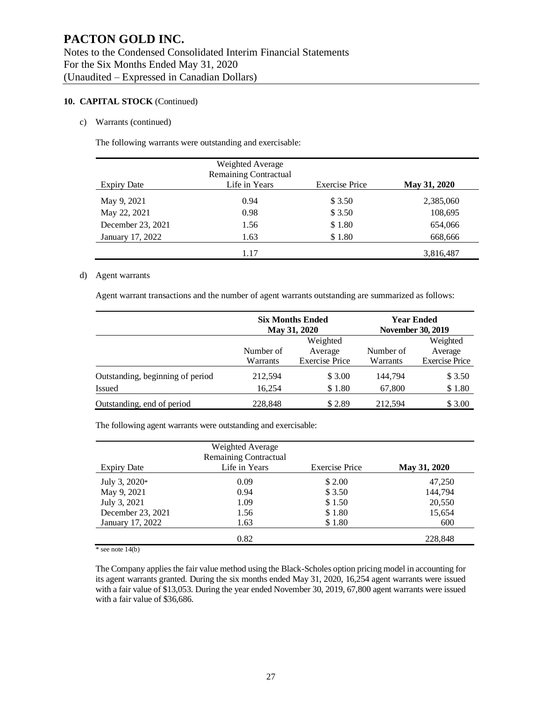#### **10. CAPITAL STOCK** (Continued)

#### c) Warrants (continued)

The following warrants were outstanding and exercisable:

| <b>Expiry Date</b> | Weighted Average<br><b>Remaining Contractual</b><br>Life in Years | <b>Exercise Price</b> | May 31, 2020 |
|--------------------|-------------------------------------------------------------------|-----------------------|--------------|
| May 9, 2021        | 0.94                                                              | \$3.50                | 2,385,060    |
| May 22, 2021       | 0.98                                                              | \$3.50                | 108,695      |
| December 23, 2021  | 1.56                                                              | \$1.80                | 654,066      |
| January 17, 2022   | 1.63                                                              | \$1.80                | 668,666      |
|                    | 1.17                                                              |                       | 3,816,487    |

#### d) Agent warrants

Agent warrant transactions and the number of agent warrants outstanding are summarized as follows:

|                                  |                                                           | <b>Six Months Ended</b><br>May 31, 2020 |          | <b>Year Ended</b><br><b>November 30, 2019</b> |  |  |           |         |
|----------------------------------|-----------------------------------------------------------|-----------------------------------------|----------|-----------------------------------------------|--|--|-----------|---------|
|                                  |                                                           | Weighted                                |          | Weighted                                      |  |  |           |         |
|                                  | Number of<br>Average<br><b>Exercise Price</b><br>Warrants |                                         |          |                                               |  |  | Number of | Average |
|                                  |                                                           |                                         | Warrants | <b>Exercise Price</b>                         |  |  |           |         |
| Outstanding, beginning of period | 212,594                                                   | \$3.00                                  | 144,794  | \$3.50                                        |  |  |           |         |
| <b>Issued</b>                    | 16,254                                                    | \$1.80                                  | 67,800   | \$1.80                                        |  |  |           |         |
| Outstanding, end of period       | 228,848                                                   | \$2.89                                  | 212,594  | \$3.00                                        |  |  |           |         |

The following agent warrants were outstanding and exercisable:

|                    | Weighted Average<br><b>Remaining Contractual</b> |                       |              |
|--------------------|--------------------------------------------------|-----------------------|--------------|
| <b>Expiry Date</b> | Life in Years                                    | <b>Exercise Price</b> | May 31, 2020 |
| July 3, $2020*$    | 0.09                                             | \$ 2.00               | 47,250       |
| May 9, 2021        | 0.94                                             | \$3.50                | 144,794      |
| July 3, 2021       | 1.09                                             | \$1.50                | 20,550       |
| December 23, 2021  | 1.56                                             | \$1.80                | 15,654       |
| January 17, 2022   | 1.63                                             | \$1.80                | 600          |
|                    | 0.82                                             |                       | 228,848      |

 $*$  see note 14(b)

The Company applies the fair value method using the Black-Scholes option pricing model in accounting for its agent warrants granted. During the six months ended May 31, 2020, 16,254 agent warrants were issued with a fair value of \$13,053. During the year ended November 30, 2019, 67,800 agent warrants were issued with a fair value of \$36,686.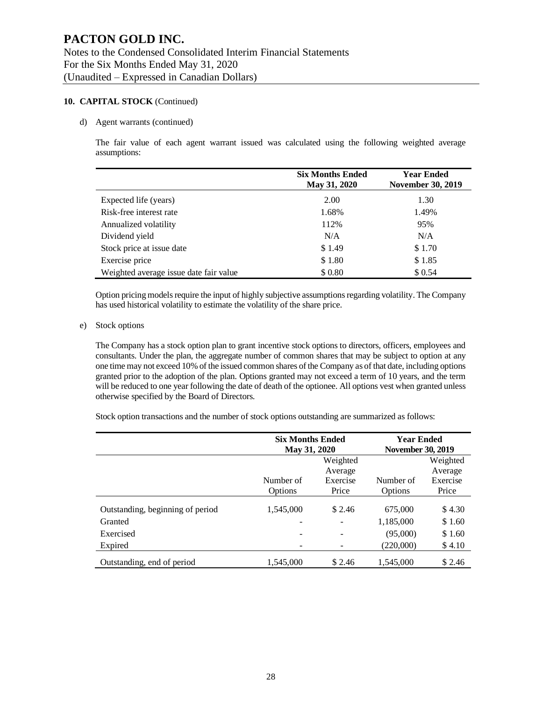#### **10. CAPITAL STOCK** (Continued)

#### d) Agent warrants (continued)

The fair value of each agent warrant issued was calculated using the following weighted average assumptions:

|                                        | <b>Six Months Ended</b><br>May 31, 2020 | <b>Year Ended</b><br><b>November 30, 2019</b> |
|----------------------------------------|-----------------------------------------|-----------------------------------------------|
| Expected life (years)                  | 2.00                                    | 1.30                                          |
| Risk-free interest rate                | 1.68%                                   | 1.49%                                         |
| Annualized volatility                  | 112%                                    | 95%                                           |
| Dividend yield                         | N/A                                     | N/A                                           |
| Stock price at issue date              | \$1.49                                  | \$1.70                                        |
| Exercise price                         | \$1.80                                  | \$1.85                                        |
| Weighted average issue date fair value | \$0.80                                  | \$0.54                                        |

Option pricing models require the input of highly subjective assumptions regarding volatility. The Company has used historical volatility to estimate the volatility of the share price.

#### e) Stock options

The Company has a stock option plan to grant incentive stock options to directors, officers, employees and consultants. Under the plan, the aggregate number of common shares that may be subject to option at any one time may not exceed 10% of the issued common shares of the Company as of that date, including options granted prior to the adoption of the plan. Options granted may not exceed a term of 10 years, and the term will be reduced to one year following the date of death of the optionee. All options vest when granted unless otherwise specified by the Board of Directors.

Stock option transactions and the number of stock options outstanding are summarized as follows:

|                                  | <b>Six Months Ended</b><br>May 31, 2020                                                  |          | <b>Year Ended</b><br><b>November 30, 2019</b> |                     |
|----------------------------------|------------------------------------------------------------------------------------------|----------|-----------------------------------------------|---------------------|
|                                  |                                                                                          | Weighted |                                               | Weighted<br>Average |
|                                  | Average<br>Number of<br>Exercise<br>Number of<br>Exercise<br>Price<br>Options<br>Options |          |                                               |                     |
| Outstanding, beginning of period | 1,545,000                                                                                | \$2.46   | 675,000                                       | \$4.30              |
| Granted                          |                                                                                          |          | 1,185,000                                     | \$1.60              |
| Exercised                        | -                                                                                        |          | (95,000)                                      | \$1.60              |
| Expired                          |                                                                                          |          | (220,000)                                     | \$4.10              |
| Outstanding, end of period       | 1.545.000                                                                                | \$2.46   | 1.545.000                                     | \$2.46              |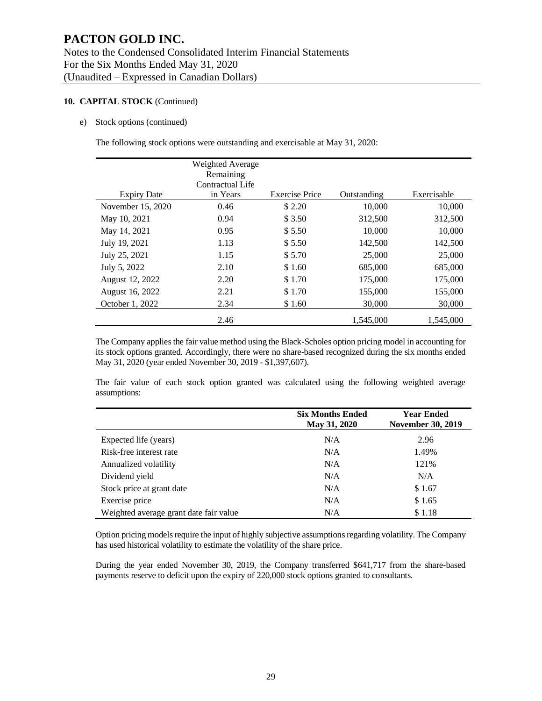### **PACTON GOLD INC.** Notes to the Condensed Consolidated Interim Financial Statements For the Six Months Ended May 31, 2020 (Unaudited – Expressed in Canadian Dollars)

#### **10. CAPITAL STOCK** (Continued)

#### e) Stock options (continued)

The following stock options were outstanding and exercisable at May 31, 2020:

| <b>Expiry Date</b> | Weighted Average<br>Remaining<br>Contractual Life<br>in Years | <b>Exercise Price</b> | Outstanding | Exercisable |
|--------------------|---------------------------------------------------------------|-----------------------|-------------|-------------|
|                    |                                                               |                       |             |             |
| November 15, 2020  | 0.46                                                          | \$2.20                | 10,000      | 10,000      |
| May 10, 2021       | 0.94                                                          | \$ 3.50               | 312,500     | 312,500     |
| May 14, 2021       | 0.95                                                          | \$5.50                | 10,000      | 10,000      |
| July 19, 2021      | 1.13                                                          | \$5.50                | 142,500     | 142,500     |
| July 25, 2021      | 1.15                                                          | \$5.70                | 25,000      | 25,000      |
| July 5, 2022       | 2.10                                                          | \$1.60                | 685,000     | 685,000     |
| August 12, 2022    | 2.20                                                          | \$1.70                | 175,000     | 175,000     |
| August 16, 2022    | 2.21                                                          | \$1.70                | 155,000     | 155,000     |
| October 1, 2022    | 2.34                                                          | \$1.60                | 30,000      | 30,000      |
|                    | 2.46                                                          |                       | 1,545,000   | 1,545,000   |

The Company applies the fair value method using the Black-Scholes option pricing model in accounting for its stock options granted. Accordingly, there were no share-based recognized during the six months ended May 31, 2020 (year ended November 30, 2019 - \$1,397,607).

The fair value of each stock option granted was calculated using the following weighted average assumptions:

|                                        | <b>Six Months Ended</b><br>May 31, 2020 | <b>Year Ended</b><br><b>November 30, 2019</b> |
|----------------------------------------|-----------------------------------------|-----------------------------------------------|
| Expected life (years)                  | N/A                                     | 2.96                                          |
| Risk-free interest rate                | N/A                                     | 1.49%                                         |
| Annualized volatility                  | N/A                                     | 121%                                          |
| Dividend yield                         | N/A                                     | N/A                                           |
| Stock price at grant date              | N/A                                     | \$1.67                                        |
| Exercise price                         | N/A                                     | \$1.65                                        |
| Weighted average grant date fair value | N/A                                     | \$1.18                                        |

Option pricing models require the input of highly subjective assumptions regarding volatility. The Company has used historical volatility to estimate the volatility of the share price.

During the year ended November 30, 2019, the Company transferred \$641,717 from the share-based payments reserve to deficit upon the expiry of 220,000 stock options granted to consultants.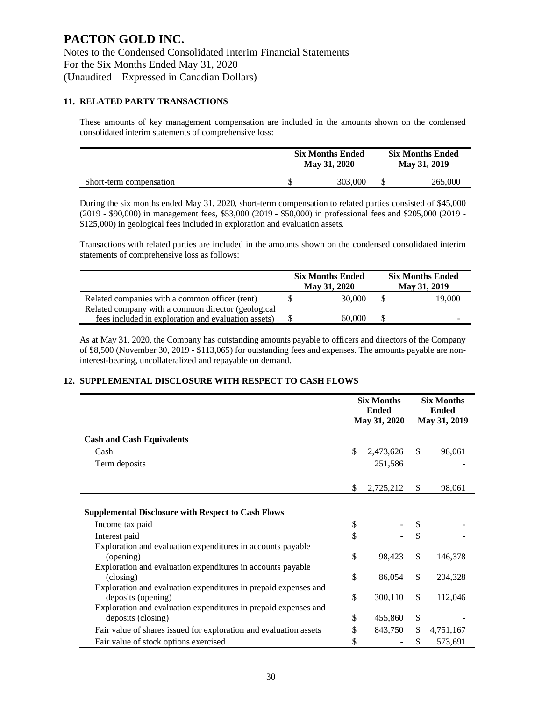#### **11. RELATED PARTY TRANSACTIONS**

These amounts of key management compensation are included in the amounts shown on the condensed consolidated interim statements of comprehensive loss:

|                         | <b>Six Months Ended</b><br>May 31, 2020 |  | <b>Six Months Ended</b><br>May 31, 2019 |
|-------------------------|-----------------------------------------|--|-----------------------------------------|
| Short-term compensation | 303,000                                 |  | 265.000                                 |

During the six months ended May 31, 2020, short-term compensation to related parties consisted of \$45,000 (2019 - \$90,000) in management fees, \$53,000 (2019 - \$50,000) in professional fees and \$205,000 (2019 - \$125,000) in geological fees included in exploration and evaluation assets.

Transactions with related parties are included in the amounts shown on the condensed consolidated interim statements of comprehensive loss as follows:

|                                                     | <b>Six Months Ended</b><br>May 31, 2020 |   | <b>Six Months Ended</b><br>May 31, 2019 |
|-----------------------------------------------------|-----------------------------------------|---|-----------------------------------------|
| Related companies with a common officer (rent)      | 30,000                                  | S | 19,000                                  |
| Related company with a common director (geological  |                                         |   |                                         |
| fees included in exploration and evaluation assets) | 60,000                                  |   |                                         |

As at May 31, 2020, the Company has outstanding amounts payable to officers and directors of the Company of \$8,500 (November 30, 2019 - \$113,065) for outstanding fees and expenses. The amounts payable are noninterest-bearing, uncollateralized and repayable on demand.

#### **12. SUPPLEMENTAL DISCLOSURE WITH RESPECT TO CASH FLOWS**

|                                                                                       | <b>Six Months</b><br><b>Ended</b> |              | <b>Six Months</b><br><b>Ended</b> |
|---------------------------------------------------------------------------------------|-----------------------------------|--------------|-----------------------------------|
|                                                                                       | May 31, 2020                      | May 31, 2019 |                                   |
| <b>Cash and Cash Equivalents</b>                                                      |                                   |              |                                   |
| Cash                                                                                  | \$<br>2,473,626                   | $\mathbb{S}$ | 98,061                            |
| Term deposits                                                                         | 251,586                           |              |                                   |
|                                                                                       |                                   |              |                                   |
|                                                                                       | \$<br>2,725,212                   | \$           | 98,061                            |
|                                                                                       |                                   |              |                                   |
| <b>Supplemental Disclosure with Respect to Cash Flows</b>                             |                                   |              |                                   |
| Income tax paid                                                                       | \$                                | \$           |                                   |
| Interest paid                                                                         | \$                                | \$           |                                   |
| Exploration and evaluation expenditures in accounts payable<br>(opening)              | \$<br>98,423                      | \$           | 146,378                           |
| Exploration and evaluation expenditures in accounts payable                           |                                   |              |                                   |
| (closing)                                                                             | \$<br>86,054                      | $\mathbb{S}$ | 204,328                           |
| Exploration and evaluation expenditures in prepaid expenses and                       |                                   |              |                                   |
| deposits (opening)                                                                    | \$<br>300,110                     | \$           | 112,046                           |
| Exploration and evaluation expenditures in prepaid expenses and<br>deposits (closing) | \$<br>455,860                     | \$           |                                   |
| Fair value of shares issued for exploration and evaluation assets                     | \$<br>843,750                     | \$           | 4,751,167                         |
| Fair value of stock options exercised                                                 | \$                                | \$           | 573,691                           |